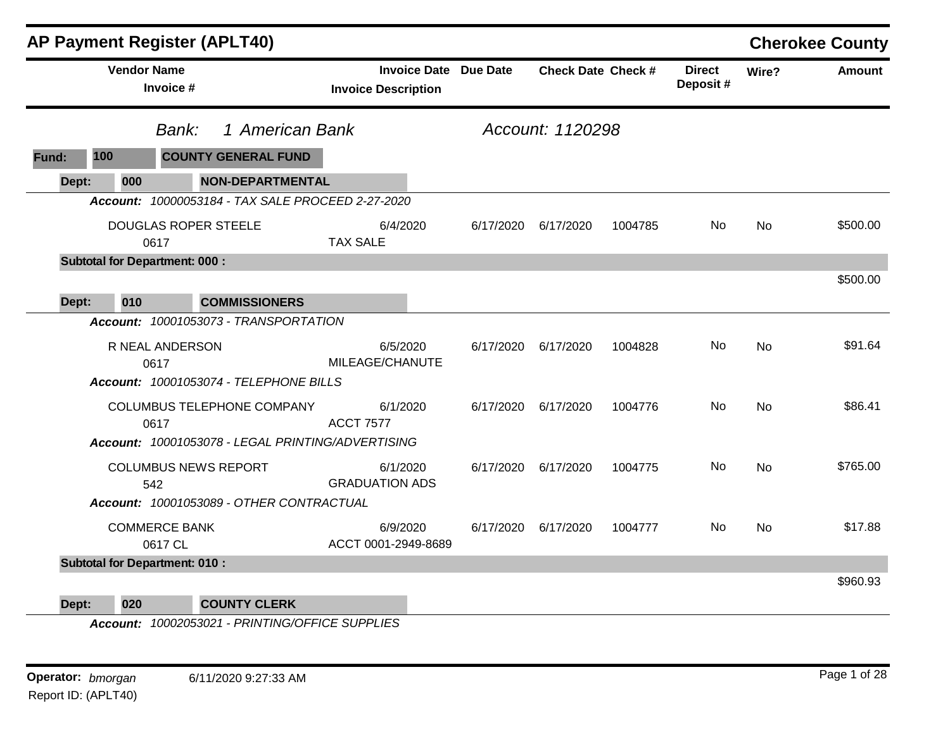|       |                                      |                                 | <b>AP Payment Register (APLT40)</b>               |                                   |                              |                           |         |                           |           | <b>Cherokee County</b> |
|-------|--------------------------------------|---------------------------------|---------------------------------------------------|-----------------------------------|------------------------------|---------------------------|---------|---------------------------|-----------|------------------------|
|       | <b>Vendor Name</b>                   | Invoice #                       |                                                   | <b>Invoice Description</b>        | <b>Invoice Date Due Date</b> | <b>Check Date Check #</b> |         | <b>Direct</b><br>Deposit# | Wire?     | Amount                 |
|       |                                      | Bank:                           | 1 American Bank                                   |                                   |                              | Account: 1120298          |         |                           |           |                        |
| Fund: | 100                                  |                                 | <b>COUNTY GENERAL FUND</b>                        |                                   |                              |                           |         |                           |           |                        |
| Dept: | 000                                  |                                 | <b>NON-DEPARTMENTAL</b>                           |                                   |                              |                           |         |                           |           |                        |
|       |                                      |                                 | Account: 10000053184 - TAX SALE PROCEED 2-27-2020 |                                   |                              |                           |         |                           |           |                        |
|       |                                      | 0617                            | <b>DOUGLAS ROPER STEELE</b>                       | 6/4/2020<br><b>TAX SALE</b>       | 6/17/2020                    | 6/17/2020                 | 1004785 | No                        | <b>No</b> | \$500.00               |
|       | <b>Subtotal for Department: 000:</b> |                                 |                                                   |                                   |                              |                           |         |                           |           |                        |
|       |                                      |                                 |                                                   |                                   |                              |                           |         |                           |           | \$500.00               |
| Dept: | 010                                  |                                 | <b>COMMISSIONERS</b>                              |                                   |                              |                           |         |                           |           |                        |
|       |                                      |                                 | Account: 10001053073 - TRANSPORTATION             |                                   |                              |                           |         |                           |           |                        |
|       |                                      | R NEAL ANDERSON<br>0617         |                                                   | 6/5/2020<br>MILEAGE/CHANUTE       | 6/17/2020                    | 6/17/2020                 | 1004828 | No                        | No        | \$91.64                |
|       |                                      |                                 | Account: 10001053074 - TELEPHONE BILLS            |                                   |                              |                           |         |                           |           |                        |
|       |                                      | 0617                            | COLUMBUS TELEPHONE COMPANY                        | 6/1/2020<br><b>ACCT 7577</b>      |                              | 6/17/2020 6/17/2020       | 1004776 | No.                       | <b>No</b> | \$86.41                |
|       |                                      |                                 | Account: 10001053078 - LEGAL PRINTING/ADVERTISING |                                   |                              |                           |         |                           |           |                        |
|       |                                      | 542                             | <b>COLUMBUS NEWS REPORT</b>                       | 6/1/2020<br><b>GRADUATION ADS</b> |                              | 6/17/2020 6/17/2020       | 1004775 | No.                       | <b>No</b> | \$765.00               |
|       |                                      |                                 | Account: 10001053089 - OTHER CONTRACTUAL          |                                   |                              |                           |         |                           |           |                        |
|       |                                      | <b>COMMERCE BANK</b><br>0617 CL |                                                   | 6/9/2020<br>ACCT 0001-2949-8689   | 6/17/2020                    | 6/17/2020                 | 1004777 | No                        | No        | \$17.88                |
|       | <b>Subtotal for Department: 010:</b> |                                 |                                                   |                                   |                              |                           |         |                           |           |                        |
| Dept: | 020                                  |                                 | <b>COUNTY CLERK</b>                               |                                   |                              |                           |         |                           |           | \$960.93               |

*Account: 10002053021 - PRINTING/OFFICE SUPPLIES*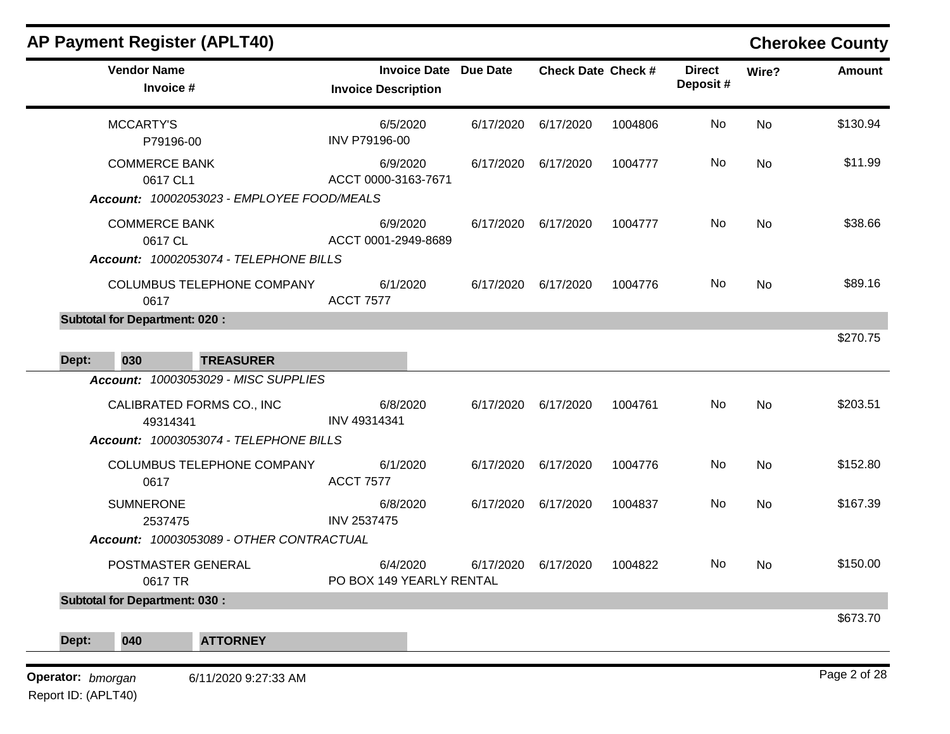| <b>AP Payment Register (APLT40)</b>                                                                                     |                                                            |           |                           |         |                           |           | <b>Cherokee County</b> |
|-------------------------------------------------------------------------------------------------------------------------|------------------------------------------------------------|-----------|---------------------------|---------|---------------------------|-----------|------------------------|
| <b>Vendor Name</b><br>Invoice #                                                                                         | <b>Invoice Date Due Date</b><br><b>Invoice Description</b> |           | <b>Check Date Check #</b> |         | <b>Direct</b><br>Deposit# | Wire?     | <b>Amount</b>          |
| <b>MCCARTY'S</b><br>P79196-00                                                                                           | 6/5/2020<br>INV P79196-00                                  | 6/17/2020 | 6/17/2020                 | 1004806 | No                        | <b>No</b> | \$130.94               |
| <b>COMMERCE BANK</b><br>0617 CL1                                                                                        | 6/9/2020<br>ACCT 0000-3163-7671                            | 6/17/2020 | 6/17/2020                 | 1004777 | No                        | No        | \$11.99                |
| Account: 10002053023 - EMPLOYEE FOOD/MEALS<br><b>COMMERCE BANK</b><br>0617 CL<br>Account: 10002053074 - TELEPHONE BILLS | 6/9/2020<br>ACCT 0001-2949-8689                            | 6/17/2020 | 6/17/2020                 | 1004777 | No                        | No        | \$38.66                |
| COLUMBUS TELEPHONE COMPANY<br>0617                                                                                      | 6/1/2020<br><b>ACCT 7577</b>                               | 6/17/2020 | 6/17/2020                 | 1004776 | No.                       | <b>No</b> | \$89.16                |
| <b>Subtotal for Department: 020:</b>                                                                                    |                                                            |           |                           |         |                           |           | \$270.75               |
| <b>TREASURER</b><br>Dept:<br>030                                                                                        |                                                            |           |                           |         |                           |           |                        |
| Account: 10003053029 - MISC SUPPLIES                                                                                    |                                                            |           |                           |         |                           |           |                        |
| CALIBRATED FORMS CO., INC<br>49314341                                                                                   | 6/8/2020<br>INV 49314341                                   | 6/17/2020 | 6/17/2020                 | 1004761 | No                        | No        | \$203.51               |
| Account: 10003053074 - TELEPHONE BILLS                                                                                  |                                                            |           |                           |         |                           |           |                        |
| COLUMBUS TELEPHONE COMPANY<br>0617                                                                                      | 6/1/2020<br><b>ACCT 7577</b>                               | 6/17/2020 | 6/17/2020                 | 1004776 | No                        | No        | \$152.80               |
| <b>SUMNERONE</b><br>2537475                                                                                             | 6/8/2020<br>INV 2537475                                    | 6/17/2020 | 6/17/2020                 | 1004837 | No                        | No        | \$167.39               |
| Account: 10003053089 - OTHER CONTRACTUAL                                                                                |                                                            |           |                           |         |                           |           |                        |
| POSTMASTER GENERAL<br>0617 TR                                                                                           | 6/4/2020<br>PO BOX 149 YEARLY RENTAL                       | 6/17/2020 | 6/17/2020                 | 1004822 | No.                       | No        | \$150.00               |
| <b>Subtotal for Department: 030:</b>                                                                                    |                                                            |           |                           |         |                           |           |                        |
| 040                                                                                                                     |                                                            |           |                           |         |                           |           | \$673.70               |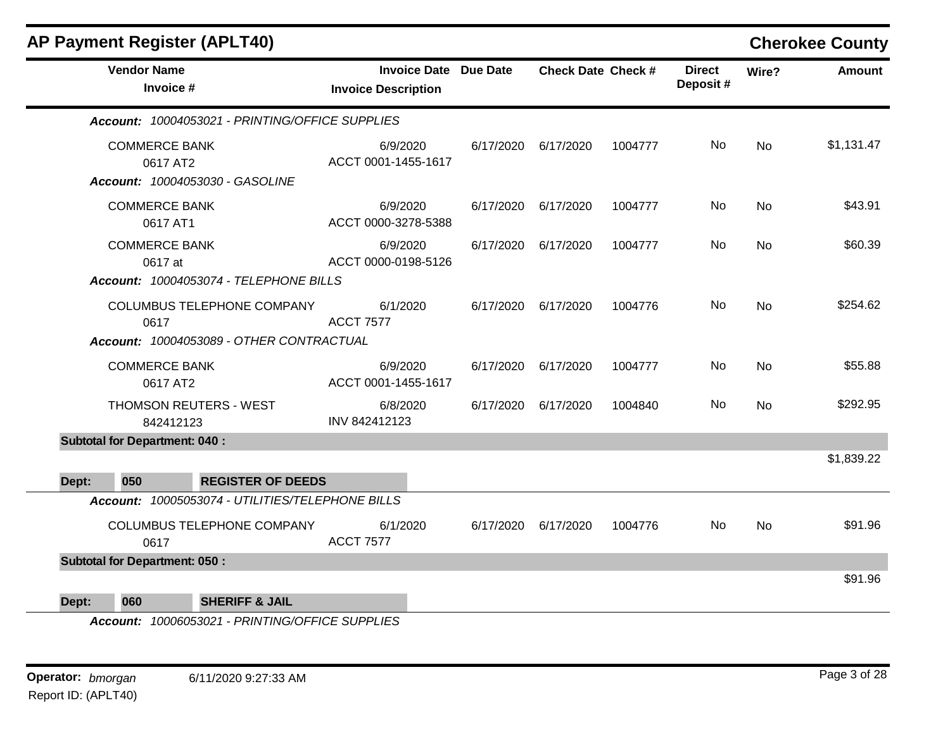|       |                                      | AP Payment Register (APLT40)                     |                                                            |           |                           |         |                           |           | <b>Cherokee County</b> |
|-------|--------------------------------------|--------------------------------------------------|------------------------------------------------------------|-----------|---------------------------|---------|---------------------------|-----------|------------------------|
|       | <b>Vendor Name</b><br>Invoice #      |                                                  | <b>Invoice Date Due Date</b><br><b>Invoice Description</b> |           | <b>Check Date Check #</b> |         | <b>Direct</b><br>Deposit# | Wire?     | <b>Amount</b>          |
|       |                                      | Account: 10004053021 - PRINTING/OFFICE SUPPLIES  |                                                            |           |                           |         |                           |           |                        |
|       | <b>COMMERCE BANK</b><br>0617 AT2     | Account: 10004053030 - GASOLINE                  | 6/9/2020<br>ACCT 0001-1455-1617                            | 6/17/2020 | 6/17/2020                 | 1004777 | No                        | <b>No</b> | \$1,131.47             |
|       | <b>COMMERCE BANK</b><br>0617 AT1     |                                                  | 6/9/2020<br>ACCT 0000-3278-5388                            | 6/17/2020 | 6/17/2020                 | 1004777 | No                        | <b>No</b> | \$43.91                |
|       | <b>COMMERCE BANK</b><br>0617 at      |                                                  | 6/9/2020<br>ACCT 0000-0198-5126                            | 6/17/2020 | 6/17/2020                 | 1004777 | No.                       | No        | \$60.39                |
|       |                                      | Account: 10004053074 - TELEPHONE BILLS           |                                                            |           |                           |         |                           |           |                        |
|       | 0617                                 | COLUMBUS TELEPHONE COMPANY                       | 6/1/2020<br><b>ACCT 7577</b>                               | 6/17/2020 | 6/17/2020                 | 1004776 | No                        | <b>No</b> | \$254.62               |
|       |                                      | Account: 10004053089 - OTHER CONTRACTUAL         |                                                            |           |                           |         |                           |           |                        |
|       | <b>COMMERCE BANK</b><br>0617 AT2     |                                                  | 6/9/2020<br>ACCT 0001-1455-1617                            | 6/17/2020 | 6/17/2020                 | 1004777 | No                        | No        | \$55.88                |
|       | 842412123                            | THOMSON REUTERS - WEST                           | 6/8/2020<br>INV 842412123                                  | 6/17/2020 | 6/17/2020                 | 1004840 | No                        | <b>No</b> | \$292.95               |
|       | <b>Subtotal for Department: 040:</b> |                                                  |                                                            |           |                           |         |                           |           |                        |
|       |                                      |                                                  |                                                            |           |                           |         |                           |           | \$1,839.22             |
| Dept: | 050                                  | <b>REGISTER OF DEEDS</b>                         |                                                            |           |                           |         |                           |           |                        |
|       |                                      | Account: 10005053074 - UTILITIES/TELEPHONE BILLS |                                                            |           |                           |         |                           |           |                        |
|       | 0617                                 | COLUMBUS TELEPHONE COMPANY                       | 6/1/2020<br><b>ACCT 7577</b>                               | 6/17/2020 | 6/17/2020                 | 1004776 | No                        | <b>No</b> | \$91.96                |
|       | <b>Subtotal for Department: 050:</b> |                                                  |                                                            |           |                           |         |                           |           |                        |
|       |                                      |                                                  |                                                            |           |                           |         |                           |           | \$91.96                |
| Dept: | 060                                  | <b>SHERIFF &amp; JAIL</b>                        |                                                            |           |                           |         |                           |           |                        |

*Account: 10006053021 - PRINTING/OFFICE SUPPLIES*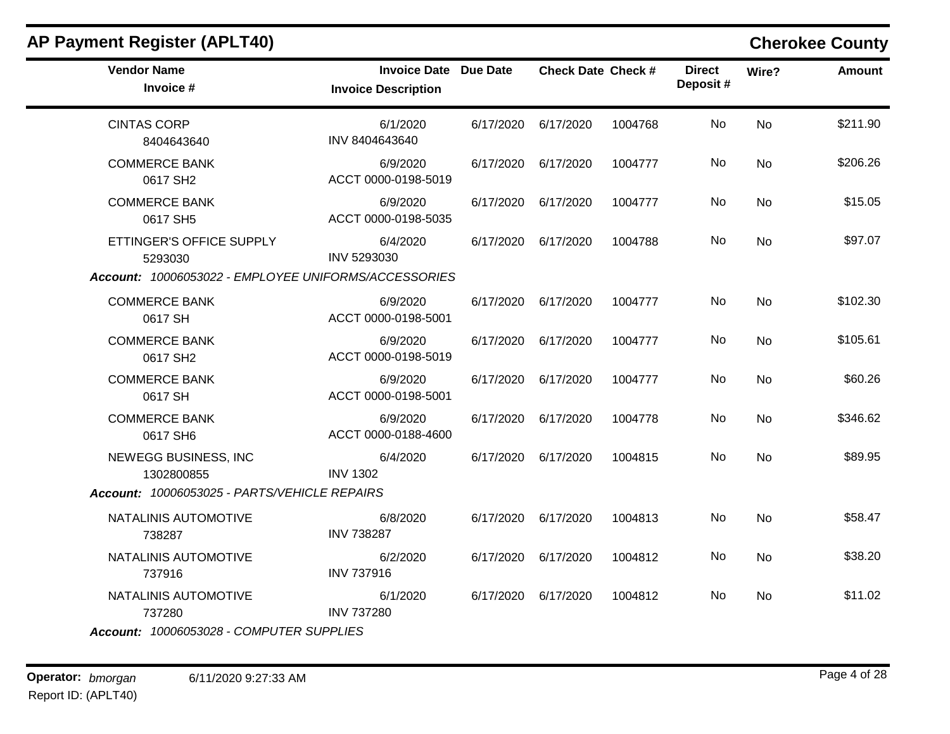| <b>Vendor Name</b><br>Invoice #                                                             | <b>Invoice Date Due Date</b><br><b>Invoice Description</b> | <b>Check Date Check #</b> |         | <b>Direct</b><br>Deposit# | Wire?     | <b>Amount</b> |
|---------------------------------------------------------------------------------------------|------------------------------------------------------------|---------------------------|---------|---------------------------|-----------|---------------|
| <b>CINTAS CORP</b><br>8404643640                                                            | 6/1/2020<br>INV 8404643640                                 | 6/17/2020 6/17/2020       | 1004768 | No.                       | No        | \$211.90      |
| <b>COMMERCE BANK</b><br>0617 SH2                                                            | 6/9/2020<br>ACCT 0000-0198-5019                            | 6/17/2020 6/17/2020       | 1004777 | No.                       | No        | \$206.26      |
| <b>COMMERCE BANK</b><br>0617 SH5                                                            | 6/9/2020<br>ACCT 0000-0198-5035                            | 6/17/2020 6/17/2020       | 1004777 | No                        | <b>No</b> | \$15.05       |
| ETTINGER'S OFFICE SUPPLY<br>5293030<br>Account: 10006053022 - EMPLOYEE UNIFORMS/ACCESSORIES | 6/4/2020<br>INV 5293030                                    | 6/17/2020 6/17/2020       | 1004788 | No.                       | <b>No</b> | \$97.07       |
| <b>COMMERCE BANK</b><br>0617 SH                                                             | 6/9/2020<br>ACCT 0000-0198-5001                            | 6/17/2020 6/17/2020       | 1004777 | No.                       | <b>No</b> | \$102.30      |
| <b>COMMERCE BANK</b><br>0617 SH <sub>2</sub>                                                | 6/9/2020<br>ACCT 0000-0198-5019                            | 6/17/2020 6/17/2020       | 1004777 | No                        | <b>No</b> | \$105.61      |
| <b>COMMERCE BANK</b><br>0617 SH                                                             | 6/9/2020<br>ACCT 0000-0198-5001                            | 6/17/2020 6/17/2020       | 1004777 | No.                       | No        | \$60.26       |
| <b>COMMERCE BANK</b><br>0617 SH6                                                            | 6/9/2020<br>ACCT 0000-0188-4600                            | 6/17/2020 6/17/2020       | 1004778 | No                        | <b>No</b> | \$346.62      |
| NEWEGG BUSINESS, INC<br>1302800855                                                          | 6/4/2020<br><b>INV 1302</b>                                | 6/17/2020 6/17/2020       | 1004815 | No.                       | No        | \$89.95       |
| Account: 10006053025 - PARTS/VEHICLE REPAIRS                                                |                                                            |                           |         |                           |           |               |
| NATALINIS AUTOMOTIVE<br>738287                                                              | 6/8/2020<br><b>INV 738287</b>                              | 6/17/2020 6/17/2020       | 1004813 | No.                       | No        | \$58.47       |
| NATALINIS AUTOMOTIVE<br>737916                                                              | 6/2/2020<br><b>INV 737916</b>                              | 6/17/2020 6/17/2020       | 1004812 | No.                       | No        | \$38.20       |
| NATALINIS AUTOMOTIVE<br>737280                                                              | 6/1/2020<br><b>INV 737280</b>                              | 6/17/2020 6/17/2020       | 1004812 | No                        | No        | \$11.02       |
| Account: 10006053028 - COMPUTER SUPPLIES                                                    |                                                            |                           |         |                           |           |               |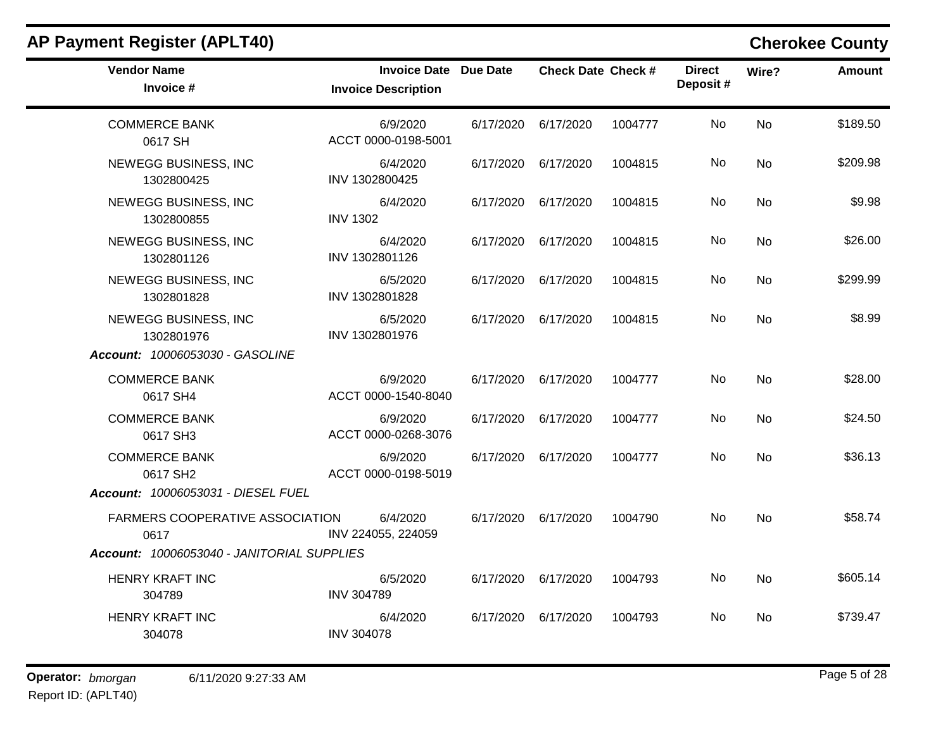| <b>Vendor Name</b><br>Invoice #                                                              | <b>Invoice Date Due Date</b><br><b>Invoice Description</b> | <b>Check Date Check #</b> |         | <b>Direct</b><br>Deposit# | Wire?     | <b>Amount</b> |
|----------------------------------------------------------------------------------------------|------------------------------------------------------------|---------------------------|---------|---------------------------|-----------|---------------|
| <b>COMMERCE BANK</b><br>0617 SH                                                              | 6/9/2020<br>ACCT 0000-0198-5001                            | 6/17/2020 6/17/2020       | 1004777 | No                        | <b>No</b> | \$189.50      |
| NEWEGG BUSINESS, INC<br>1302800425                                                           | 6/4/2020<br>INV 1302800425                                 | 6/17/2020 6/17/2020       | 1004815 | No.                       | <b>No</b> | \$209.98      |
| NEWEGG BUSINESS, INC<br>1302800855                                                           | 6/4/2020<br><b>INV 1302</b>                                | 6/17/2020 6/17/2020       | 1004815 | No                        | <b>No</b> | \$9.98        |
| NEWEGG BUSINESS, INC<br>1302801126                                                           | 6/4/2020<br>INV 1302801126                                 | 6/17/2020 6/17/2020       | 1004815 | No.                       | <b>No</b> | \$26.00       |
| NEWEGG BUSINESS, INC<br>1302801828                                                           | 6/5/2020<br>INV 1302801828                                 | 6/17/2020 6/17/2020       | 1004815 | No                        | <b>No</b> | \$299.99      |
| NEWEGG BUSINESS, INC<br>1302801976<br>Account: 10006053030 - GASOLINE                        | 6/5/2020<br>INV 1302801976                                 | 6/17/2020 6/17/2020       | 1004815 | No.                       | <b>No</b> | \$8.99        |
| <b>COMMERCE BANK</b><br>0617 SH4                                                             | 6/9/2020<br>ACCT 0000-1540-8040                            | 6/17/2020 6/17/2020       | 1004777 | No                        | <b>No</b> | \$28.00       |
| <b>COMMERCE BANK</b><br>0617 SH3                                                             | 6/9/2020<br>ACCT 0000-0268-3076                            | 6/17/2020 6/17/2020       | 1004777 | No.                       | <b>No</b> | \$24.50       |
| <b>COMMERCE BANK</b><br>0617 SH2<br>Account: 10006053031 - DIESEL FUEL                       | 6/9/2020<br>ACCT 0000-0198-5019                            | 6/17/2020 6/17/2020       | 1004777 | No.                       | No        | \$36.13       |
| <b>FARMERS COOPERATIVE ASSOCIATION</b><br>0617<br>Account: 10006053040 - JANITORIAL SUPPLIES | 6/4/2020<br>INV 224055, 224059                             | 6/17/2020 6/17/2020       | 1004790 | No                        | <b>No</b> | \$58.74       |
| HENRY KRAFT INC<br>304789                                                                    | 6/5/2020<br><b>INV 304789</b>                              | 6/17/2020 6/17/2020       | 1004793 | No.                       | <b>No</b> | \$605.14      |
| <b>HENRY KRAFT INC</b><br>304078                                                             | 6/4/2020<br><b>INV 304078</b>                              | 6/17/2020 6/17/2020       | 1004793 | No.                       | <b>No</b> | \$739.47      |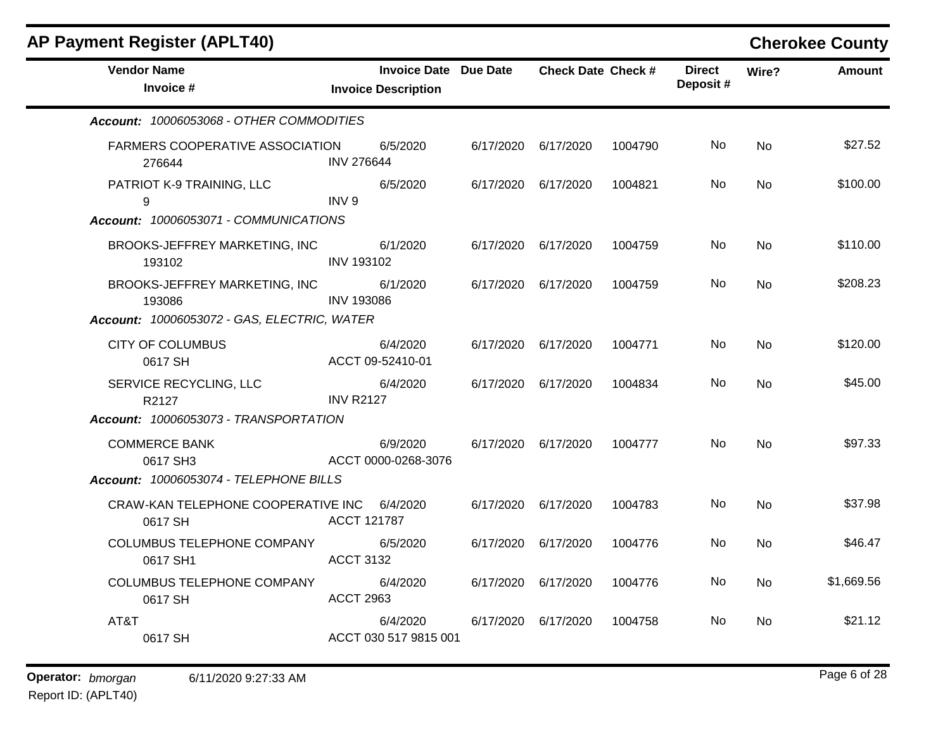| <b>Vendor Name</b>                                     | <b>Invoice Date Due Date</b>      |                     | <b>Check Date Check #</b> |         | <b>Direct</b><br>Deposit# | Wire?     | <b>Amount</b> |
|--------------------------------------------------------|-----------------------------------|---------------------|---------------------------|---------|---------------------------|-----------|---------------|
| Invoice #                                              | <b>Invoice Description</b>        |                     |                           |         |                           |           |               |
| Account: 10006053068 - OTHER COMMODITIES               |                                   |                     |                           |         |                           |           |               |
| FARMERS COOPERATIVE ASSOCIATION<br>276644              | 6/5/2020<br><b>INV 276644</b>     |                     | 6/17/2020 6/17/2020       | 1004790 | No.                       | <b>No</b> | \$27.52       |
| PATRIOT K-9 TRAINING, LLC<br>9                         | 6/5/2020<br>INV <sub>9</sub>      |                     | 6/17/2020 6/17/2020       | 1004821 | No                        | <b>No</b> | \$100.00      |
| Account: 10006053071 - COMMUNICATIONS                  |                                   |                     |                           |         |                           |           |               |
| BROOKS-JEFFREY MARKETING, INC<br>193102                | 6/1/2020<br><b>INV 193102</b>     |                     | 6/17/2020 6/17/2020       | 1004759 | No                        | No        | \$110.00      |
| BROOKS-JEFFREY MARKETING, INC<br>193086                | 6/1/2020<br><b>INV 193086</b>     | 6/17/2020           | 6/17/2020                 | 1004759 | No.                       | No        | \$208.23      |
| Account: 10006053072 - GAS, ELECTRIC, WATER            |                                   |                     |                           |         |                           |           |               |
| <b>CITY OF COLUMBUS</b><br>0617 SH                     | 6/4/2020<br>ACCT 09-52410-01      |                     | 6/17/2020 6/17/2020       | 1004771 | No                        | <b>No</b> | \$120.00      |
| SERVICE RECYCLING, LLC<br>R2127                        | 6/4/2020<br><b>INV R2127</b>      |                     | 6/17/2020 6/17/2020       | 1004834 | No.                       | <b>No</b> | \$45.00       |
| Account: 10006053073 - TRANSPORTATION                  |                                   |                     |                           |         |                           |           |               |
| <b>COMMERCE BANK</b><br>0617 SH3                       | 6/9/2020<br>ACCT 0000-0268-3076   |                     | 6/17/2020 6/17/2020       | 1004777 | No.                       | <b>No</b> | \$97.33       |
| Account: 10006053074 - TELEPHONE BILLS                 |                                   |                     |                           |         |                           |           |               |
| CRAW-KAN TELEPHONE COOPERATIVE INC 6/4/2020<br>0617 SH | ACCT 121787                       | 6/17/2020           | 6/17/2020                 | 1004783 | No.                       | <b>No</b> | \$37.98       |
| COLUMBUS TELEPHONE COMPANY<br>0617 SH1                 | 6/5/2020<br><b>ACCT 3132</b>      | 6/17/2020 6/17/2020 |                           | 1004776 | No.                       | <b>No</b> | \$46.47       |
| COLUMBUS TELEPHONE COMPANY<br>0617 SH                  | 6/4/2020<br><b>ACCT 2963</b>      |                     | 6/17/2020 6/17/2020       | 1004776 | No                        | <b>No</b> | \$1,669.56    |
| AT&T<br>0617 SH                                        | 6/4/2020<br>ACCT 030 517 9815 001 | 6/17/2020           | 6/17/2020                 | 1004758 | No.                       | <b>No</b> | \$21.12       |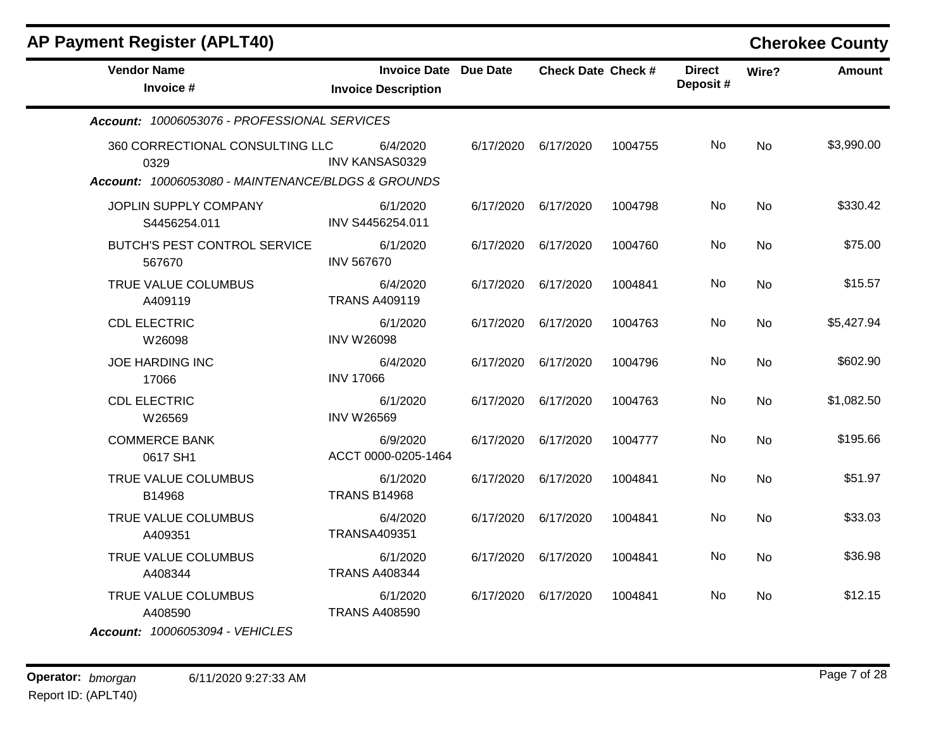| <b>AP Payment Register (APLT40)</b>                                                           |                                                            |           |                           |         |                           |           | <b>Cherokee County</b> |
|-----------------------------------------------------------------------------------------------|------------------------------------------------------------|-----------|---------------------------|---------|---------------------------|-----------|------------------------|
| <b>Vendor Name</b><br>Invoice #                                                               | <b>Invoice Date Due Date</b><br><b>Invoice Description</b> |           | <b>Check Date Check #</b> |         | <b>Direct</b><br>Deposit# | Wire?     | Amount                 |
| Account: 10006053076 - PROFESSIONAL SERVICES                                                  |                                                            |           |                           |         |                           |           |                        |
| 360 CORRECTIONAL CONSULTING LLC<br>0329<br>Account: 10006053080 - MAINTENANCE/BLDGS & GROUNDS | 6/4/2020<br><b>INV KANSAS0329</b>                          | 6/17/2020 | 6/17/2020                 | 1004755 | No                        | <b>No</b> | \$3,990.00             |
|                                                                                               |                                                            |           |                           |         |                           |           |                        |
| JOPLIN SUPPLY COMPANY<br>S4456254.011                                                         | 6/1/2020<br>INV S4456254.011                               | 6/17/2020 | 6/17/2020                 | 1004798 | No                        | <b>No</b> | \$330.42               |
| <b>BUTCH'S PEST CONTROL SERVICE</b><br>567670                                                 | 6/1/2020<br><b>INV 567670</b>                              | 6/17/2020 | 6/17/2020                 | 1004760 | No                        | No        | \$75.00                |
| TRUE VALUE COLUMBUS<br>A409119                                                                | 6/4/2020<br><b>TRANS A409119</b>                           | 6/17/2020 | 6/17/2020                 | 1004841 | No                        | No        | \$15.57                |
| <b>CDL ELECTRIC</b><br>W26098                                                                 | 6/1/2020<br><b>INV W26098</b>                              | 6/17/2020 | 6/17/2020                 | 1004763 | No                        | No        | \$5,427.94             |
| <b>JOE HARDING INC</b><br>17066                                                               | 6/4/2020<br><b>INV 17066</b>                               | 6/17/2020 | 6/17/2020                 | 1004796 | No                        | No        | \$602.90               |
| <b>CDL ELECTRIC</b><br>W26569                                                                 | 6/1/2020<br><b>INV W26569</b>                              | 6/17/2020 | 6/17/2020                 | 1004763 | No.                       | No        | \$1,082.50             |
| <b>COMMERCE BANK</b><br>0617 SH1                                                              | 6/9/2020<br>ACCT 0000-0205-1464                            | 6/17/2020 | 6/17/2020                 | 1004777 | No                        | No        | \$195.66               |
| TRUE VALUE COLUMBUS<br>B14968                                                                 | 6/1/2020<br><b>TRANS B14968</b>                            | 6/17/2020 | 6/17/2020                 | 1004841 | No                        | <b>No</b> | \$51.97                |
| TRUE VALUE COLUMBUS<br>A409351                                                                | 6/4/2020<br><b>TRANSA409351</b>                            | 6/17/2020 | 6/17/2020                 | 1004841 | No                        | No        | \$33.03                |
| TRUE VALUE COLUMBUS<br>A408344                                                                | 6/1/2020<br><b>TRANS A408344</b>                           | 6/17/2020 | 6/17/2020                 | 1004841 | No                        | No        | \$36.98                |
| TRUE VALUE COLUMBUS<br>A408590<br>Account: 10006053094 - VEHICLES                             | 6/1/2020<br><b>TRANS A408590</b>                           | 6/17/2020 | 6/17/2020                 | 1004841 | No                        | No        | \$12.15                |

Report ID: (APLT40)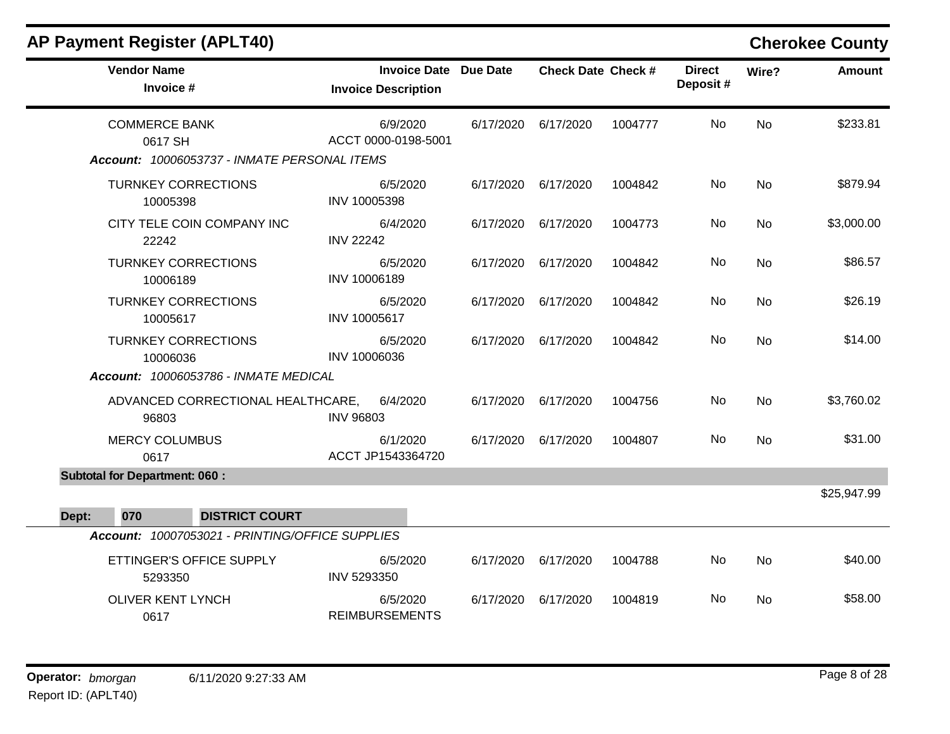| <b>Vendor Name</b><br>Invoice #                 | <b>Invoice Date Due Date</b><br><b>Invoice Description</b> |           | <b>Check Date Check #</b> |         | <b>Direct</b><br>Deposit# | Wire?     | <b>Amount</b> |
|-------------------------------------------------|------------------------------------------------------------|-----------|---------------------------|---------|---------------------------|-----------|---------------|
| <b>COMMERCE BANK</b><br>0617 SH                 | 6/9/2020<br>ACCT 0000-0198-5001                            | 6/17/2020 | 6/17/2020                 | 1004777 | No                        | <b>No</b> | \$233.81      |
| Account: 10006053737 - INMATE PERSONAL ITEMS    |                                                            |           |                           |         |                           |           |               |
| <b>TURNKEY CORRECTIONS</b><br>10005398          | 6/5/2020<br>INV 10005398                                   | 6/17/2020 | 6/17/2020                 | 1004842 | No                        | <b>No</b> | \$879.94      |
| CITY TELE COIN COMPANY INC<br>22242             | 6/4/2020<br><b>INV 22242</b>                               | 6/17/2020 | 6/17/2020                 | 1004773 | No                        | No        | \$3,000.00    |
| <b>TURNKEY CORRECTIONS</b><br>10006189          | 6/5/2020<br>INV 10006189                                   | 6/17/2020 | 6/17/2020                 | 1004842 | No                        | <b>No</b> | \$86.57       |
| <b>TURNKEY CORRECTIONS</b><br>10005617          | 6/5/2020<br>INV 10005617                                   | 6/17/2020 | 6/17/2020                 | 1004842 | No                        | <b>No</b> | \$26.19       |
| <b>TURNKEY CORRECTIONS</b><br>10006036          | 6/5/2020<br>INV 10006036                                   |           | 6/17/2020 6/17/2020       | 1004842 | No                        | No        | \$14.00       |
| Account: 10006053786 - INMATE MEDICAL           |                                                            |           |                           |         |                           |           |               |
| ADVANCED CORRECTIONAL HEALTHCARE,<br>96803      | 6/4/2020<br><b>INV 96803</b>                               | 6/17/2020 | 6/17/2020                 | 1004756 | No                        | <b>No</b> | \$3,760.02    |
| <b>MERCY COLUMBUS</b><br>0617                   | 6/1/2020<br>ACCT JP1543364720                              | 6/17/2020 | 6/17/2020                 | 1004807 | No                        | <b>No</b> | \$31.00       |
| <b>Subtotal for Department: 060:</b>            |                                                            |           |                           |         |                           |           |               |
|                                                 |                                                            |           |                           |         |                           |           | \$25,947.99   |
| <b>DISTRICT COURT</b><br>Dept:<br>070           |                                                            |           |                           |         |                           |           |               |
| Account: 10007053021 - PRINTING/OFFICE SUPPLIES |                                                            |           |                           |         |                           |           |               |
| ETTINGER'S OFFICE SUPPLY<br>5293350             | 6/5/2020<br>INV 5293350                                    | 6/17/2020 | 6/17/2020                 | 1004788 | No                        | No        | \$40.00       |
| <b>OLIVER KENT LYNCH</b><br>0617                | 6/5/2020<br><b>REIMBURSEMENTS</b>                          | 6/17/2020 | 6/17/2020                 | 1004819 | No                        | No        | \$58.00       |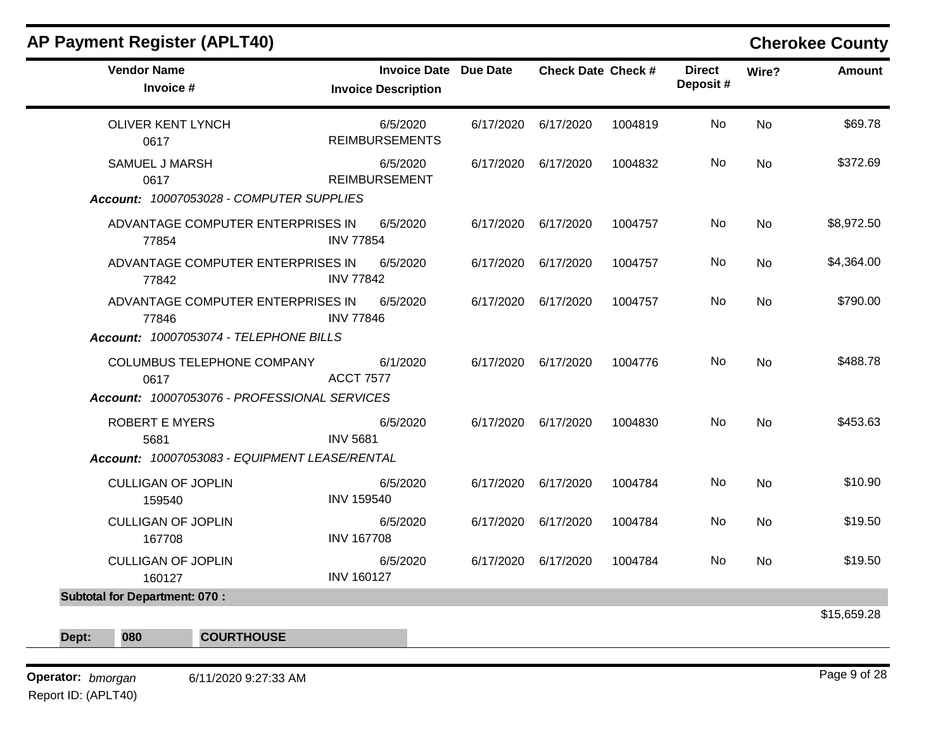| <b>AP Payment Register (APLT40)</b>           |                   |                                                            |                           |         |                           |           | <b>Cherokee County</b> |
|-----------------------------------------------|-------------------|------------------------------------------------------------|---------------------------|---------|---------------------------|-----------|------------------------|
| <b>Vendor Name</b><br>Invoice #               |                   | <b>Invoice Date Due Date</b><br><b>Invoice Description</b> | <b>Check Date Check #</b> |         | <b>Direct</b><br>Deposit# | Wire?     | Amount                 |
| <b>OLIVER KENT LYNCH</b><br>0617              |                   | 6/5/2020<br><b>REIMBURSEMENTS</b>                          | 6/17/2020 6/17/2020       | 1004819 | No.                       | <b>No</b> | \$69.78                |
| <b>SAMUEL J MARSH</b><br>0617                 |                   | 6/5/2020<br><b>REIMBURSEMENT</b>                           | 6/17/2020 6/17/2020       | 1004832 | No.                       | <b>No</b> | \$372.69               |
| Account: 10007053028 - COMPUTER SUPPLIES      |                   |                                                            |                           |         |                           |           |                        |
| ADVANTAGE COMPUTER ENTERPRISES IN<br>77854    | <b>INV 77854</b>  | 6/5/2020                                                   | 6/17/2020 6/17/2020       | 1004757 | No                        | <b>No</b> | \$8,972.50             |
| ADVANTAGE COMPUTER ENTERPRISES IN<br>77842    | <b>INV 77842</b>  | 6/5/2020                                                   | 6/17/2020 6/17/2020       | 1004757 | No                        | No        | \$4,364.00             |
| ADVANTAGE COMPUTER ENTERPRISES IN<br>77846    | <b>INV 77846</b>  | 6/5/2020                                                   | 6/17/2020 6/17/2020       | 1004757 | No                        | <b>No</b> | \$790.00               |
| Account: 10007053074 - TELEPHONE BILLS        |                   |                                                            |                           |         |                           |           |                        |
| COLUMBUS TELEPHONE COMPANY<br>0617            | <b>ACCT 7577</b>  | 6/1/2020                                                   | 6/17/2020 6/17/2020       | 1004776 | No                        | <b>No</b> | \$488.78               |
| Account: 10007053076 - PROFESSIONAL SERVICES  |                   |                                                            |                           |         |                           |           |                        |
| <b>ROBERT E MYERS</b><br>5681                 | <b>INV 5681</b>   | 6/5/2020                                                   | 6/17/2020 6/17/2020       | 1004830 | No                        | No        | \$453.63               |
| Account: 10007053083 - EQUIPMENT LEASE/RENTAL |                   |                                                            |                           |         |                           |           |                        |
| <b>CULLIGAN OF JOPLIN</b><br>159540           | <b>INV 159540</b> | 6/5/2020                                                   | 6/17/2020 6/17/2020       | 1004784 | No                        | <b>No</b> | \$10.90                |
| <b>CULLIGAN OF JOPLIN</b><br>167708           | <b>INV 167708</b> | 6/5/2020                                                   | 6/17/2020 6/17/2020       | 1004784 | No.                       | No        | \$19.50                |
| <b>CULLIGAN OF JOPLIN</b><br>160127           | <b>INV 160127</b> | 6/5/2020                                                   | 6/17/2020 6/17/2020       | 1004784 | No                        | No        | \$19.50                |
| <b>Subtotal for Department: 070:</b>          |                   |                                                            |                           |         |                           |           |                        |
| 080<br><b>COURTHOUSE</b><br>Dept:             |                   |                                                            |                           |         |                           |           | \$15,659.28            |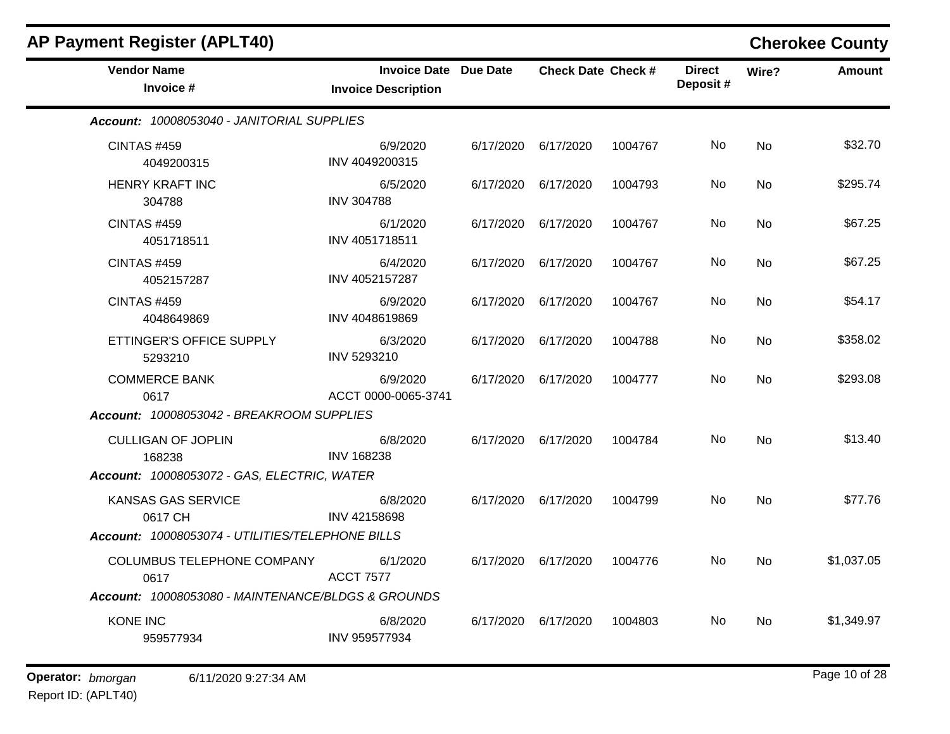| <b>AP Payment Register (APLT40)</b>                                                |                                                            |           |                           |         |                           |           | <b>Cherokee County</b> |
|------------------------------------------------------------------------------------|------------------------------------------------------------|-----------|---------------------------|---------|---------------------------|-----------|------------------------|
| <b>Vendor Name</b><br>Invoice #                                                    | <b>Invoice Date Due Date</b><br><b>Invoice Description</b> |           | <b>Check Date Check #</b> |         | <b>Direct</b><br>Deposit# | Wire?     | <b>Amount</b>          |
| Account: 10008053040 - JANITORIAL SUPPLIES                                         |                                                            |           |                           |         |                           |           |                        |
| <b>CINTAS #459</b><br>4049200315                                                   | 6/9/2020<br>INV 4049200315                                 | 6/17/2020 | 6/17/2020                 | 1004767 | No.                       | <b>No</b> | \$32.70                |
| <b>HENRY KRAFT INC</b><br>304788                                                   | 6/5/2020<br><b>INV 304788</b>                              | 6/17/2020 | 6/17/2020                 | 1004793 | No.                       | <b>No</b> | \$295.74               |
| <b>CINTAS #459</b><br>4051718511                                                   | 6/1/2020<br>INV 4051718511                                 | 6/17/2020 | 6/17/2020                 | 1004767 | No                        | <b>No</b> | \$67.25                |
| <b>CINTAS #459</b><br>4052157287                                                   | 6/4/2020<br>INV 4052157287                                 | 6/17/2020 | 6/17/2020                 | 1004767 | No.                       | No        | \$67.25                |
| <b>CINTAS #459</b><br>4048649869                                                   | 6/9/2020<br>INV 4048619869                                 | 6/17/2020 | 6/17/2020                 | 1004767 | No                        | <b>No</b> | \$54.17                |
| ETTINGER'S OFFICE SUPPLY<br>5293210                                                | 6/3/2020<br>INV 5293210                                    | 6/17/2020 | 6/17/2020                 | 1004788 | No                        | <b>No</b> | \$358.02               |
| <b>COMMERCE BANK</b><br>0617                                                       | 6/9/2020<br>ACCT 0000-0065-3741                            | 6/17/2020 | 6/17/2020                 | 1004777 | No                        | No        | \$293.08               |
| Account: 10008053042 - BREAKROOM SUPPLIES                                          |                                                            |           |                           |         |                           |           |                        |
| <b>CULLIGAN OF JOPLIN</b><br>168238<br>Account: 10008053072 - GAS, ELECTRIC, WATER | 6/8/2020<br><b>INV 168238</b>                              | 6/17/2020 | 6/17/2020                 | 1004784 | No                        | <b>No</b> | \$13.40                |
| KANSAS GAS SERVICE<br>0617 CH                                                      | 6/8/2020<br>INV 42158698                                   | 6/17/2020 | 6/17/2020                 | 1004799 | No                        | No        | \$77.76                |
| Account: 10008053074 - UTILITIES/TELEPHONE BILLS                                   |                                                            |           |                           |         |                           |           |                        |
| COLUMBUS TELEPHONE COMPANY<br>0617                                                 | 6/1/2020<br><b>ACCT 7577</b>                               | 6/17/2020 | 6/17/2020                 | 1004776 | No.                       | <b>No</b> | \$1,037.05             |
| Account: 10008053080 - MAINTENANCE/BLDGS & GROUNDS                                 |                                                            |           |                           |         |                           |           |                        |
| <b>KONE INC</b><br>959577934                                                       | 6/8/2020<br>INV 959577934                                  | 6/17/2020 | 6/17/2020                 | 1004803 | No.                       | <b>No</b> | \$1,349.97             |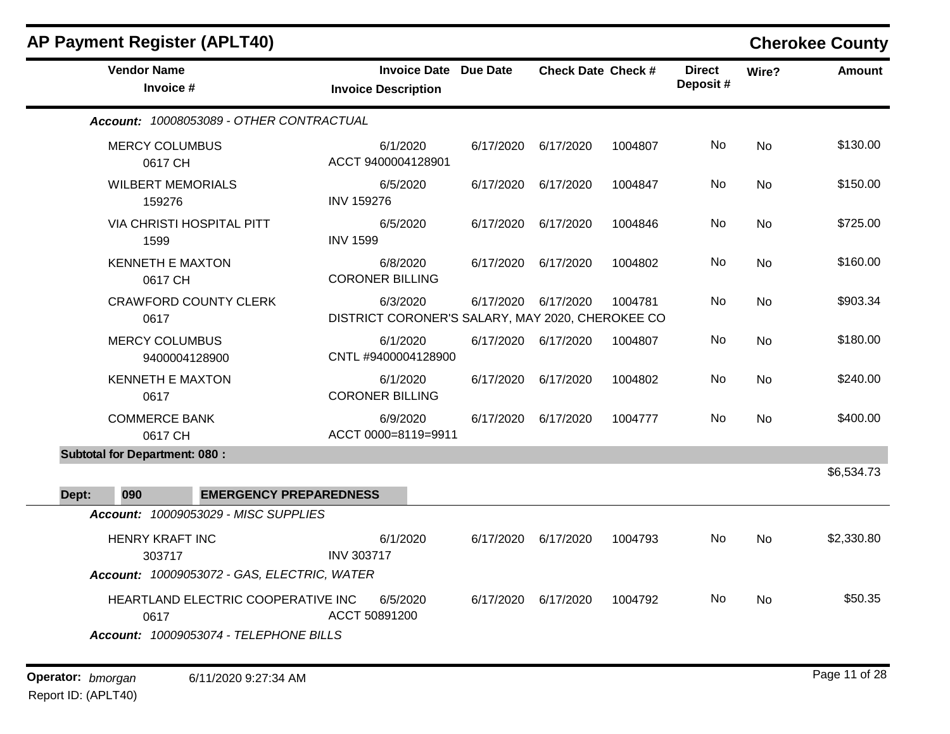| <b>AP Payment Register (APLT40)</b>                                                           |                                                     |                                                              |           |                           |         |                           |           | <b>Cherokee County</b> |
|-----------------------------------------------------------------------------------------------|-----------------------------------------------------|--------------------------------------------------------------|-----------|---------------------------|---------|---------------------------|-----------|------------------------|
| <b>Vendor Name</b><br>Invoice #                                                               |                                                     | <b>Invoice Date Due Date</b><br><b>Invoice Description</b>   |           | <b>Check Date Check #</b> |         | <b>Direct</b><br>Deposit# | Wire?     | <b>Amount</b>          |
| Account: 10008053089 - OTHER CONTRACTUAL                                                      |                                                     |                                                              |           |                           |         |                           |           |                        |
| <b>MERCY COLUMBUS</b><br>0617 CH                                                              |                                                     | 6/1/2020<br>ACCT 9400004128901                               | 6/17/2020 | 6/17/2020                 | 1004807 | No                        | No        | \$130.00               |
| <b>WILBERT MEMORIALS</b><br>159276                                                            | <b>INV 159276</b>                                   | 6/5/2020                                                     | 6/17/2020 | 6/17/2020                 | 1004847 | No                        | No        | \$150.00               |
| <b>VIA CHRISTI HOSPITAL PITT</b><br>1599                                                      | <b>INV 1599</b>                                     | 6/5/2020                                                     | 6/17/2020 | 6/17/2020                 | 1004846 | No                        | <b>No</b> | \$725.00               |
| <b>KENNETH E MAXTON</b><br>0617 CH                                                            |                                                     | 6/8/2020<br><b>CORONER BILLING</b>                           | 6/17/2020 | 6/17/2020                 | 1004802 | No.                       | No        | \$160.00               |
| <b>CRAWFORD COUNTY CLERK</b><br>0617                                                          |                                                     | 6/3/2020<br>DISTRICT CORONER'S SALARY, MAY 2020, CHEROKEE CO | 6/17/2020 | 6/17/2020                 | 1004781 | No                        | <b>No</b> | \$903.34               |
| <b>MERCY COLUMBUS</b><br>9400004128900                                                        |                                                     | 6/1/2020<br>CNTL #9400004128900                              |           | 6/17/2020 6/17/2020       | 1004807 | No.                       | No.       | \$180.00               |
| <b>KENNETH E MAXTON</b><br>0617                                                               |                                                     | 6/1/2020<br><b>CORONER BILLING</b>                           | 6/17/2020 | 6/17/2020                 | 1004802 | No.                       | No        | \$240.00               |
| <b>COMMERCE BANK</b><br>0617 CH                                                               |                                                     | 6/9/2020<br>ACCT 0000=8119=9911                              | 6/17/2020 | 6/17/2020                 | 1004777 | No.                       | No        | \$400.00               |
| <b>Subtotal for Department: 080:</b>                                                          |                                                     |                                                              |           |                           |         |                           |           |                        |
| 090<br>Dept:                                                                                  | <b>EMERGENCY PREPAREDNESS</b>                       |                                                              |           |                           |         |                           |           | \$6,534.73             |
| Account: 10009053029 - MISC SUPPLIES                                                          |                                                     |                                                              |           |                           |         |                           |           |                        |
| <b>HENRY KRAFT INC</b><br>303717                                                              | <b>INV 303717</b>                                   | 6/1/2020                                                     | 6/17/2020 | 6/17/2020                 | 1004793 | No.                       | No        | \$2,330.80             |
| Account: 10009053072 - GAS, ELECTRIC, WATER<br>0617<br>Account: 10009053074 - TELEPHONE BILLS | HEARTLAND ELECTRIC COOPERATIVE INC<br>ACCT 50891200 | 6/5/2020                                                     | 6/17/2020 | 6/17/2020                 | 1004792 | No.                       | No        | \$50.35                |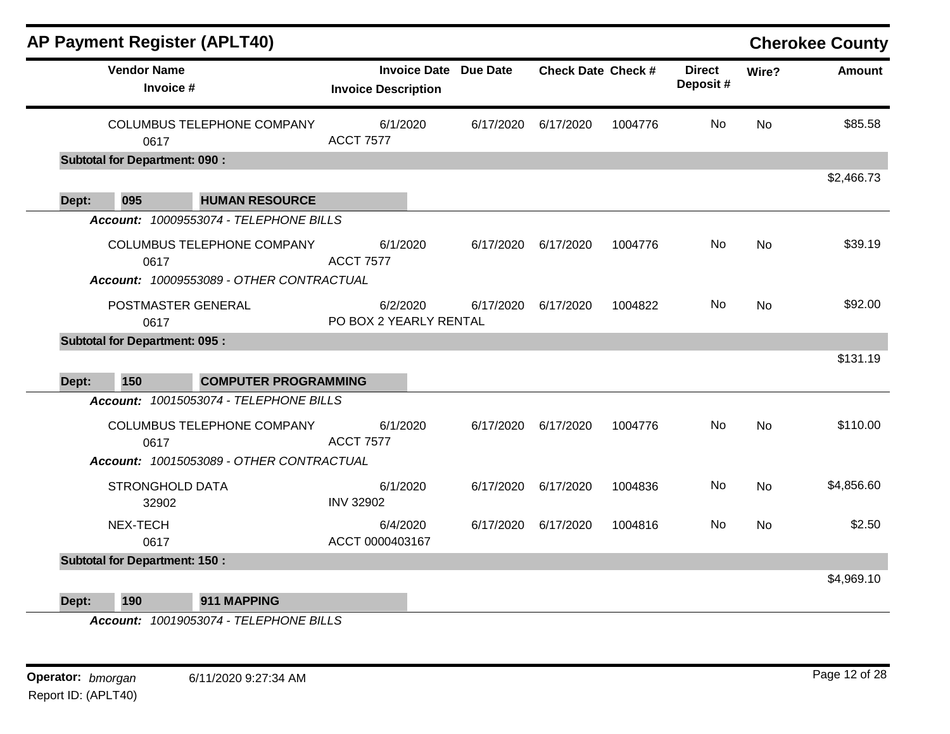|       |                                      | <b>AP Payment Register (APLT40)</b>                                           |                                    |                              |                           |         |                           |           | <b>Cherokee County</b> |
|-------|--------------------------------------|-------------------------------------------------------------------------------|------------------------------------|------------------------------|---------------------------|---------|---------------------------|-----------|------------------------|
|       | <b>Vendor Name</b><br>Invoice #      |                                                                               | <b>Invoice Description</b>         | <b>Invoice Date Due Date</b> | <b>Check Date Check #</b> |         | <b>Direct</b><br>Deposit# | Wire?     | <b>Amount</b>          |
|       | 0617                                 | COLUMBUS TELEPHONE COMPANY                                                    | 6/1/2020<br><b>ACCT 7577</b>       | 6/17/2020                    | 6/17/2020                 | 1004776 | No                        | <b>No</b> | \$85.58                |
|       | <b>Subtotal for Department: 090:</b> |                                                                               |                                    |                              |                           |         |                           |           |                        |
| Dept: | 095                                  | <b>HUMAN RESOURCE</b>                                                         |                                    |                              |                           |         |                           |           | \$2,466.73             |
|       |                                      | Account: 10009553074 - TELEPHONE BILLS                                        |                                    |                              |                           |         |                           |           |                        |
|       | 0617                                 | <b>COLUMBUS TELEPHONE COMPANY</b><br>Account: 10009553089 - OTHER CONTRACTUAL | 6/1/2020<br><b>ACCT 7577</b>       | 6/17/2020                    | 6/17/2020                 | 1004776 | No                        | <b>No</b> | \$39.19                |
|       | POSTMASTER GENERAL<br>0617           |                                                                               | 6/2/2020<br>PO BOX 2 YEARLY RENTAL | 6/17/2020                    | 6/17/2020                 | 1004822 | No                        | <b>No</b> | \$92.00                |
|       | <b>Subtotal for Department: 095:</b> |                                                                               |                                    |                              |                           |         |                           |           |                        |
|       |                                      |                                                                               |                                    |                              |                           |         |                           |           | \$131.19               |
| Dept: | 150                                  | <b>COMPUTER PROGRAMMING</b>                                                   |                                    |                              |                           |         |                           |           |                        |
|       |                                      | Account: 10015053074 - TELEPHONE BILLS                                        |                                    |                              |                           |         |                           |           |                        |
|       | 0617                                 | COLUMBUS TELEPHONE COMPANY<br>Account: 10015053089 - OTHER CONTRACTUAL        | 6/1/2020<br><b>ACCT 7577</b>       | 6/17/2020                    | 6/17/2020                 | 1004776 | No                        | <b>No</b> | \$110.00               |
|       | <b>STRONGHOLD DATA</b><br>32902      |                                                                               | 6/1/2020<br><b>INV 32902</b>       | 6/17/2020                    | 6/17/2020                 | 1004836 | No                        | <b>No</b> | \$4,856.60             |
|       | NEX-TECH<br>0617                     |                                                                               | 6/4/2020<br>ACCT 0000403167        | 6/17/2020                    | 6/17/2020                 | 1004816 | No                        | <b>No</b> | \$2.50                 |
|       | <b>Subtotal for Department: 150:</b> |                                                                               |                                    |                              |                           |         |                           |           |                        |
| Dept: | 190                                  | 911 MAPPING                                                                   |                                    |                              |                           |         |                           |           | \$4,969.10             |

*Account: 10019053074 - TELEPHONE BILLS*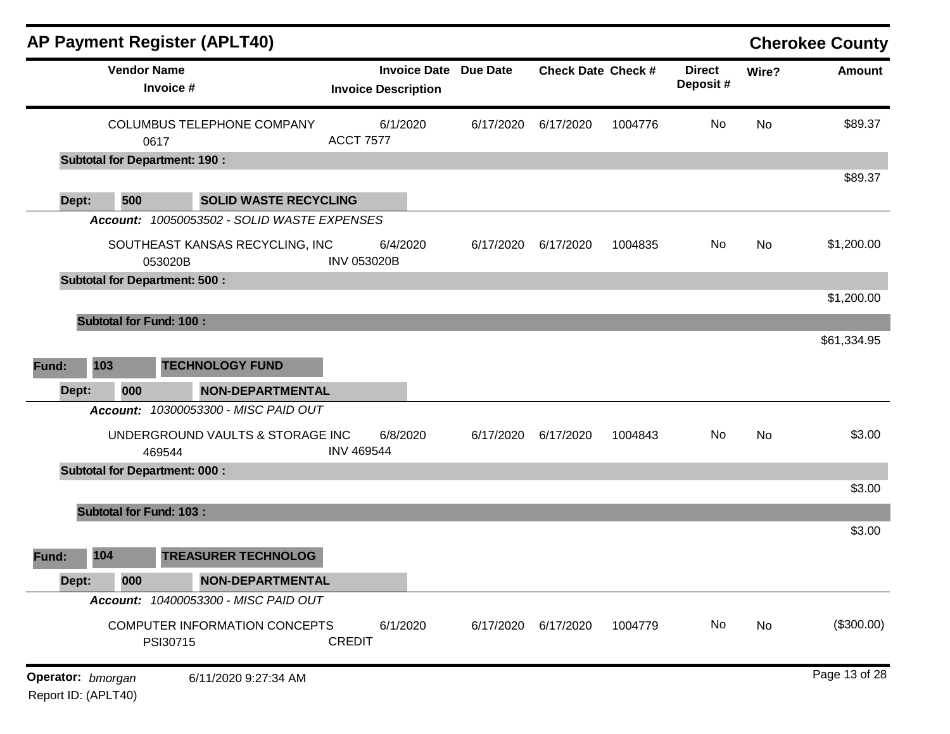|       |                                | <b>AP Payment Register (APLT40)</b>         |                                                            |           |                           |         |                           |           | <b>Cherokee County</b> |
|-------|--------------------------------|---------------------------------------------|------------------------------------------------------------|-----------|---------------------------|---------|---------------------------|-----------|------------------------|
|       | <b>Vendor Name</b>             | Invoice #                                   | <b>Invoice Date Due Date</b><br><b>Invoice Description</b> |           | <b>Check Date Check #</b> |         | <b>Direct</b><br>Deposit# | Wire?     | <b>Amount</b>          |
|       |                                | COLUMBUS TELEPHONE COMPANY<br>0617          | 6/1/2020<br><b>ACCT 7577</b>                               | 6/17/2020 | 6/17/2020                 | 1004776 | No                        | No        | \$89.37                |
|       |                                | <b>Subtotal for Department: 190 :</b>       |                                                            |           |                           |         |                           |           |                        |
| Dept: | 500                            | <b>SOLID WASTE RECYCLING</b>                |                                                            |           |                           |         |                           |           | \$89.37                |
|       |                                | Account: 10050053502 - SOLID WASTE EXPENSES |                                                            |           |                           |         |                           |           |                        |
|       |                                | SOUTHEAST KANSAS RECYCLING, INC<br>053020B  | 6/4/2020<br><b>INV 053020B</b>                             | 6/17/2020 | 6/17/2020                 | 1004835 | No                        | No        | \$1,200.00             |
|       |                                | <b>Subtotal for Department: 500:</b>        |                                                            |           |                           |         |                           |           |                        |
|       |                                |                                             |                                                            |           |                           |         |                           |           | \$1,200.00             |
|       | <b>Subtotal for Fund: 100:</b> |                                             |                                                            |           |                           |         |                           |           |                        |
|       |                                |                                             |                                                            |           |                           |         |                           |           | \$61,334.95            |
| Fund: | 103                            | <b>TECHNOLOGY FUND</b>                      |                                                            |           |                           |         |                           |           |                        |
| Dept: | 000                            | <b>NON-DEPARTMENTAL</b>                     |                                                            |           |                           |         |                           |           |                        |
|       |                                | Account: 10300053300 - MISC PAID OUT        |                                                            |           |                           |         |                           |           |                        |
|       |                                | UNDERGROUND VAULTS & STORAGE INC<br>469544  | 6/8/2020<br><b>INV 469544</b>                              | 6/17/2020 | 6/17/2020                 | 1004843 | No                        | <b>No</b> | \$3.00                 |
|       |                                | <b>Subtotal for Department: 000:</b>        |                                                            |           |                           |         |                           |           |                        |
|       |                                |                                             |                                                            |           |                           |         |                           |           | \$3.00                 |
|       | <b>Subtotal for Fund: 103:</b> |                                             |                                                            |           |                           |         |                           |           |                        |
|       |                                |                                             |                                                            |           |                           |         |                           |           | \$3.00                 |
| Fund: | 104                            | <b>TREASURER TECHNOLOG</b>                  |                                                            |           |                           |         |                           |           |                        |
| Dept: | 000                            | <b>NON-DEPARTMENTAL</b>                     |                                                            |           |                           |         |                           |           |                        |
|       |                                | Account: 10400053300 - MISC PAID OUT        |                                                            |           |                           |         |                           |           |                        |
|       |                                | COMPUTER INFORMATION CONCEPTS<br>PSI30715   | 6/1/2020<br><b>CREDIT</b>                                  | 6/17/2020 | 6/17/2020                 | 1004779 | No                        | No        | (\$300.00)             |
|       | Operator: bmorgan              | 6/11/2020 9:27:34 AM                        |                                                            |           |                           |         |                           |           | Page 13 of 28          |

Report ID: (APLT40)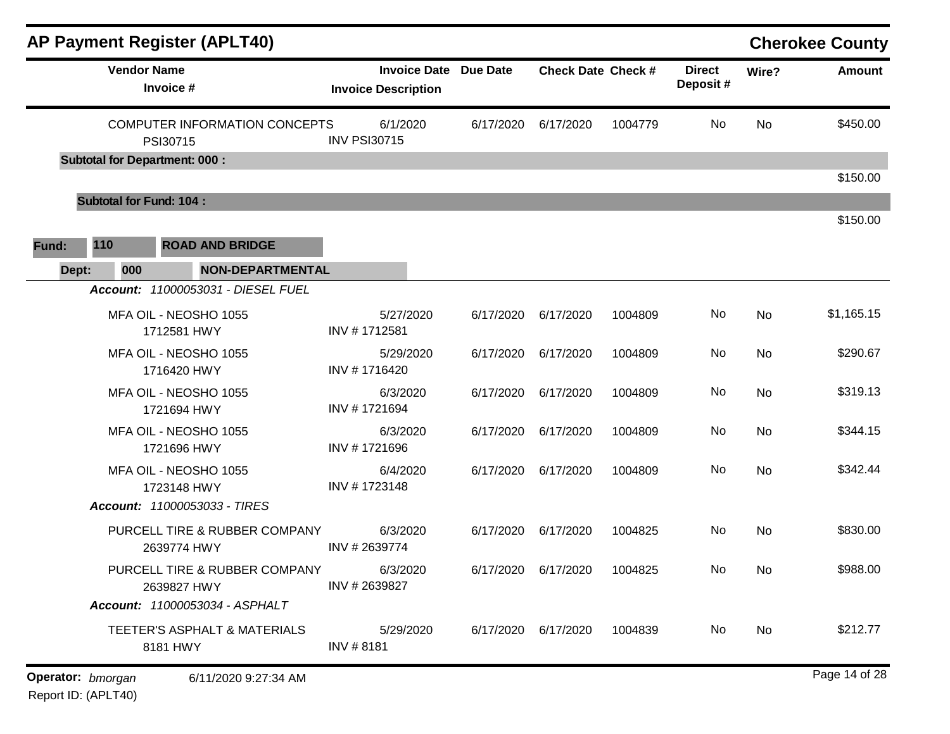| AP Payment Register (APLT40)                       |                                                            |           |                             |         |                           |       | <b>Cherokee County</b> |
|----------------------------------------------------|------------------------------------------------------------|-----------|-----------------------------|---------|---------------------------|-------|------------------------|
| <b>Vendor Name</b><br>Invoice #                    | <b>Invoice Date Due Date</b><br><b>Invoice Description</b> |           | <b>Check Date Check #</b>   |         | <b>Direct</b><br>Deposit# | Wire? | <b>Amount</b>          |
| <b>COMPUTER INFORMATION CONCEPTS</b><br>PSI30715   | 6/1/2020<br><b>INV PSI30715</b>                            | 6/17/2020 | 6/17/2020                   | 1004779 | No                        | No    | \$450.00               |
| <b>Subtotal for Department: 000:</b>               |                                                            |           |                             |         |                           |       | \$150.00               |
| <b>Subtotal for Fund: 104:</b>                     |                                                            |           |                             |         |                           |       |                        |
| <b>ROAD AND BRIDGE</b><br>110<br>Fund:             |                                                            |           |                             |         |                           |       | \$150.00               |
| 000<br>Dept:<br>Account: 11000053031 - DIESEL FUEL | <b>NON-DEPARTMENTAL</b>                                    |           |                             |         |                           |       |                        |
| MFA OIL - NEOSHO 1055<br>1712581 HWY               | 5/27/2020<br>INV #1712581                                  | 6/17/2020 | 6/17/2020                   | 1004809 | No                        | No    | \$1,165.15             |
| MFA OIL - NEOSHO 1055<br>1716420 HWY               | 5/29/2020<br>INV #1716420                                  | 6/17/2020 | 6/17/2020                   | 1004809 | No                        | No    | \$290.67               |
| MFA OIL - NEOSHO 1055<br>1721694 HWY               | 6/3/2020<br>INV #1721694                                   | 6/17/2020 | 6/17/2020                   | 1004809 | No                        | No    | \$319.13               |
| MFA OIL - NEOSHO 1055<br>1721696 HWY               | 6/3/2020<br>INV #1721696                                   | 6/17/2020 | 6/17/2020                   | 1004809 | No                        | No    | \$344.15               |
| MFA OIL - NEOSHO 1055<br>1723148 HWY               | 6/4/2020<br>INV #1723148                                   | 6/17/2020 | 6/17/2020                   | 1004809 | No                        | No    | \$342.44               |
| Account: 11000053033 - TIRES                       |                                                            |           |                             |         |                           |       |                        |
| PURCELL TIRE & RUBBER COMPANY<br>2639774 HWY       | 6/3/2020<br>INV #2639774                                   | 6/17/2020 | 6/17/2020                   | 1004825 | No                        | No    | \$830.00               |
| PURCELL TIRE & RUBBER COMPANY<br>2639827 HWY       | 6/3/2020<br>INV # 2639827                                  |           | 6/17/2020 6/17/2020 1004825 |         | No                        | No    | \$988.00               |
| Account: 11000053034 - ASPHALT                     |                                                            |           |                             |         |                           |       |                        |
| TEETER'S ASPHALT & MATERIALS<br>8181 HWY           | 5/29/2020<br>INV #8181                                     | 6/17/2020 | 6/17/2020                   | 1004839 | No                        | No    | \$212.77               |
| Operator: bmorgan<br>6/11/2020 9:27:34 AM          |                                                            |           |                             |         |                           |       | Page 14 of 28          |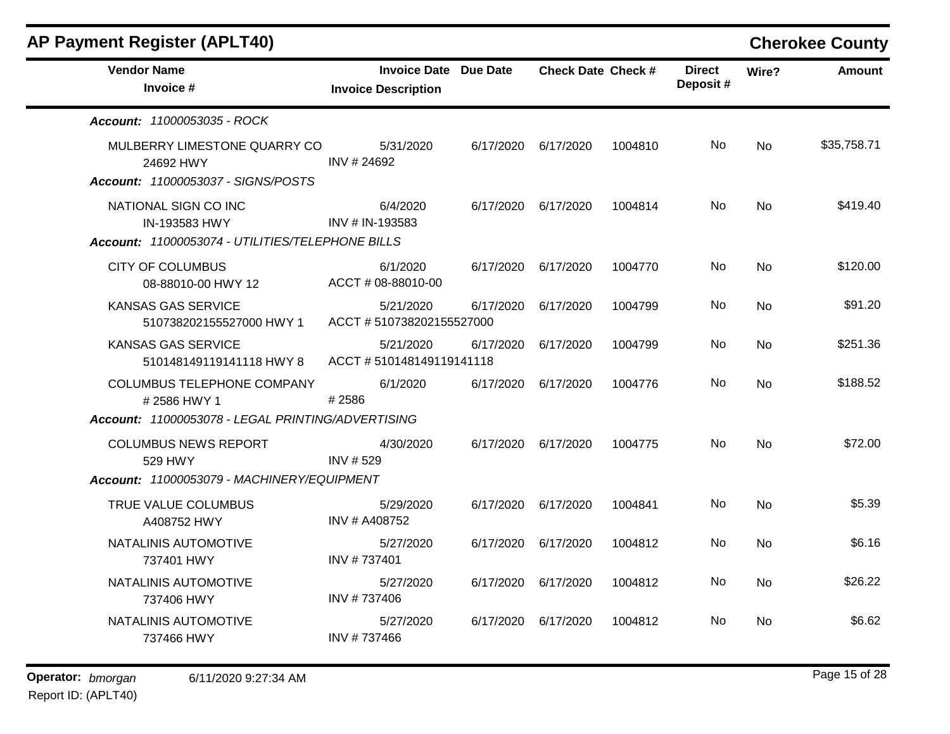| <b>AP Payment Register (APLT40)</b>                                             |                                                            |           |                           |         |                           |           | <b>Cherokee County</b> |
|---------------------------------------------------------------------------------|------------------------------------------------------------|-----------|---------------------------|---------|---------------------------|-----------|------------------------|
| <b>Vendor Name</b><br>Invoice #                                                 | <b>Invoice Date Due Date</b><br><b>Invoice Description</b> |           | <b>Check Date Check #</b> |         | <b>Direct</b><br>Deposit# | Wire?     | <b>Amount</b>          |
| Account: 11000053035 - ROCK                                                     |                                                            |           |                           |         |                           |           |                        |
| MULBERRY LIMESTONE QUARRY CO<br>24692 HWY<br>Account: 11000053037 - SIGNS/POSTS | 5/31/2020<br>INV # 24692                                   |           | 6/17/2020 6/17/2020       | 1004810 | No                        | No        | \$35,758.71            |
| NATIONAL SIGN CO INC<br>IN-193583 HWY                                           | 6/4/2020<br>INV # IN-193583                                | 6/17/2020 | 6/17/2020                 | 1004814 | No.                       | No        | \$419.40               |
| Account: 11000053074 - UTILITIES/TELEPHONE BILLS                                |                                                            |           |                           |         |                           |           |                        |
| <b>CITY OF COLUMBUS</b><br>08-88010-00 HWY 12                                   | 6/1/2020<br>ACCT # 08-88010-00                             | 6/17/2020 | 6/17/2020                 | 1004770 | No.                       | <b>No</b> | \$120.00               |
| <b>KANSAS GAS SERVICE</b><br>510738202155527000 HWY 1                           | 5/21/2020<br>ACCT #510738202155527000                      | 6/17/2020 | 6/17/2020                 | 1004799 | No.                       | No        | \$91.20                |
| KANSAS GAS SERVICE<br>510148149119141118 HWY 8                                  | 5/21/2020<br>ACCT #510148149119141118                      | 6/17/2020 | 6/17/2020                 | 1004799 | No.                       | No        | \$251.36               |
| <b>COLUMBUS TELEPHONE COMPANY</b><br>#2586 HWY 1                                | 6/1/2020<br>#2586                                          | 6/17/2020 | 6/17/2020                 | 1004776 | No                        | <b>No</b> | \$188.52               |
| Account: 11000053078 - LEGAL PRINTING/ADVERTISING                               |                                                            |           |                           |         |                           |           |                        |
| <b>COLUMBUS NEWS REPORT</b><br>529 HWY                                          | 4/30/2020<br><b>INV #529</b>                               |           | 6/17/2020 6/17/2020       | 1004775 | No.                       | No        | \$72.00                |
| Account: 11000053079 - MACHINERY/EQUIPMENT                                      |                                                            |           |                           |         |                           |           |                        |
| TRUE VALUE COLUMBUS<br>A408752 HWY                                              | 5/29/2020<br>INV # A408752                                 | 6/17/2020 | 6/17/2020                 | 1004841 | No.                       | No        | \$5.39                 |
| NATALINIS AUTOMOTIVE<br>737401 HWY                                              | 5/27/2020<br>INV #737401                                   | 6/17/2020 | 6/17/2020                 | 1004812 | No.                       | No        | \$6.16                 |
| NATALINIS AUTOMOTIVE<br>737406 HWY                                              | 5/27/2020<br>INV #737406                                   | 6/17/2020 | 6/17/2020                 | 1004812 | No.                       | No        | \$26.22                |
| NATALINIS AUTOMOTIVE<br>737466 HWY                                              | 5/27/2020<br>INV #737466                                   | 6/17/2020 | 6/17/2020                 | 1004812 | No                        | No        | \$6.62                 |
|                                                                                 |                                                            |           |                           |         |                           |           |                        |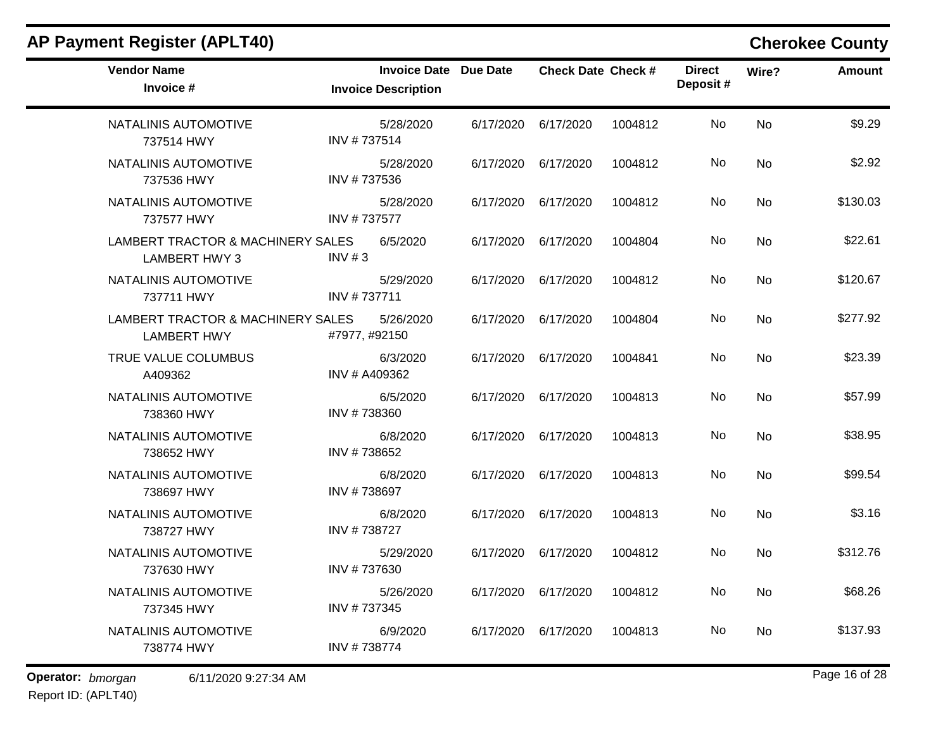| <b>AP Payment Register (APLT40)</b>                       |                                                            |           |                           |         |                           |           | <b>Cherokee County</b> |
|-----------------------------------------------------------|------------------------------------------------------------|-----------|---------------------------|---------|---------------------------|-----------|------------------------|
| <b>Vendor Name</b><br>Invoice #                           | <b>Invoice Date Due Date</b><br><b>Invoice Description</b> |           | <b>Check Date Check #</b> |         | <b>Direct</b><br>Deposit# | Wire?     | <b>Amount</b>          |
| NATALINIS AUTOMOTIVE<br>737514 HWY                        | 5/28/2020<br>INV #737514                                   | 6/17/2020 | 6/17/2020                 | 1004812 | No                        | No        | \$9.29                 |
| NATALINIS AUTOMOTIVE<br>737536 HWY                        | 5/28/2020<br>INV #737536                                   | 6/17/2020 | 6/17/2020                 | 1004812 | No                        | No        | \$2.92                 |
| NATALINIS AUTOMOTIVE<br>737577 HWY                        | 5/28/2020<br>INV #737577                                   | 6/17/2020 | 6/17/2020                 | 1004812 | No                        | No        | \$130.03               |
| LAMBERT TRACTOR & MACHINERY SALES<br><b>LAMBERT HWY 3</b> | 6/5/2020<br>INV $# 3$                                      | 6/17/2020 | 6/17/2020                 | 1004804 | No                        | <b>No</b> | \$22.61                |
| NATALINIS AUTOMOTIVE<br>737711 HWY                        | 5/29/2020<br>INV #737711                                   | 6/17/2020 | 6/17/2020                 | 1004812 | No                        | No        | \$120.67               |
| LAMBERT TRACTOR & MACHINERY SALES<br><b>LAMBERT HWY</b>   | 5/26/2020<br>#7977, #92150                                 | 6/17/2020 | 6/17/2020                 | 1004804 | No                        | No        | \$277.92               |
| TRUE VALUE COLUMBUS<br>A409362                            | 6/3/2020<br>INV # A409362                                  | 6/17/2020 | 6/17/2020                 | 1004841 | No                        | No        | \$23.39                |
| NATALINIS AUTOMOTIVE<br>738360 HWY                        | 6/5/2020<br>INV #738360                                    | 6/17/2020 | 6/17/2020                 | 1004813 | No                        | No        | \$57.99                |
| NATALINIS AUTOMOTIVE<br>738652 HWY                        | 6/8/2020<br>INV #738652                                    | 6/17/2020 | 6/17/2020                 | 1004813 | No                        | <b>No</b> | \$38.95                |
| NATALINIS AUTOMOTIVE<br>738697 HWY                        | 6/8/2020<br>INV #738697                                    | 6/17/2020 | 6/17/2020                 | 1004813 | No                        | No        | \$99.54                |
| NATALINIS AUTOMOTIVE<br>738727 HWY                        | 6/8/2020<br>INV #738727                                    | 6/17/2020 | 6/17/2020                 | 1004813 | No                        | <b>No</b> | \$3.16                 |
| NATALINIS AUTOMOTIVE<br>737630 HWY                        | 5/29/2020<br>INV #737630                                   | 6/17/2020 | 6/17/2020                 | 1004812 | No                        | No        | \$312.76               |
| NATALINIS AUTOMOTIVE<br>737345 HWY                        | 5/26/2020<br>INV #737345                                   |           | 6/17/2020 6/17/2020       | 1004812 | No                        | <b>No</b> | \$68.26                |
| NATALINIS AUTOMOTIVE<br>738774 HWY                        | 6/9/2020<br>INV #738774                                    | 6/17/2020 | 6/17/2020                 | 1004813 | No                        | No        | \$137.93               |

**Operator:** bmorgan 6/11/2020 9:27:34 AM Report ID: (APLT40)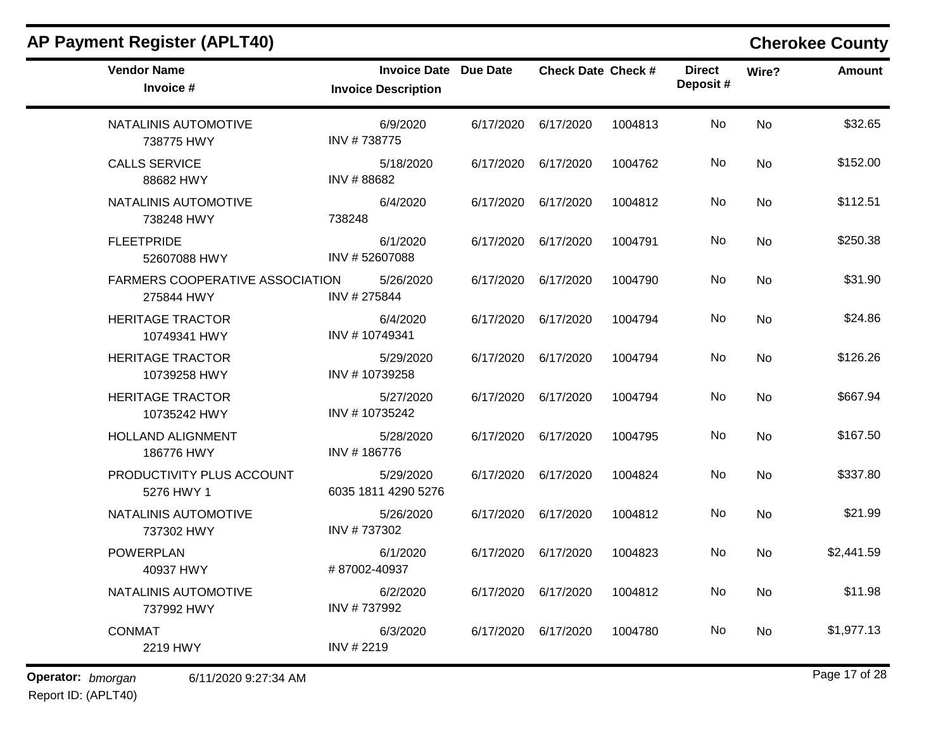| <b>Vendor Name</b><br>Invoice #               | <b>Invoice Date Due Date</b><br><b>Invoice Description</b> |           | <b>Check Date Check #</b> |         | <b>Direct</b><br>Deposit# | Wire?     | <b>Amount</b> |
|-----------------------------------------------|------------------------------------------------------------|-----------|---------------------------|---------|---------------------------|-----------|---------------|
| NATALINIS AUTOMOTIVE<br>738775 HWY            | 6/9/2020<br>INV #738775                                    | 6/17/2020 | 6/17/2020                 | 1004813 | No                        | <b>No</b> | \$32.65       |
| <b>CALLS SERVICE</b><br>88682 HWY             | 5/18/2020<br>INV #88682                                    | 6/17/2020 | 6/17/2020                 | 1004762 | <b>No</b>                 | No        | \$152.00      |
| NATALINIS AUTOMOTIVE<br>738248 HWY            | 6/4/2020<br>738248                                         | 6/17/2020 | 6/17/2020                 | 1004812 | No                        | <b>No</b> | \$112.51      |
| <b>FLEETPRIDE</b><br>52607088 HWY             | 6/1/2020<br>INV #52607088                                  | 6/17/2020 | 6/17/2020                 | 1004791 | No                        | <b>No</b> | \$250.38      |
| FARMERS COOPERATIVE ASSOCIATION<br>275844 HWY | 5/26/2020<br>INV #275844                                   | 6/17/2020 | 6/17/2020                 | 1004790 | No                        | No        | \$31.90       |
| <b>HERITAGE TRACTOR</b><br>10749341 HWY       | 6/4/2020<br>INV #10749341                                  | 6/17/2020 | 6/17/2020                 | 1004794 | No                        | <b>No</b> | \$24.86       |
| <b>HERITAGE TRACTOR</b><br>10739258 HWY       | 5/29/2020<br>INV #10739258                                 | 6/17/2020 | 6/17/2020                 | 1004794 | No                        | <b>No</b> | \$126.26      |
| <b>HERITAGE TRACTOR</b><br>10735242 HWY       | 5/27/2020<br>INV #10735242                                 | 6/17/2020 | 6/17/2020                 | 1004794 | No                        | No        | \$667.94      |
| <b>HOLLAND ALIGNMENT</b><br>186776 HWY        | 5/28/2020<br>INV #186776                                   | 6/17/2020 | 6/17/2020                 | 1004795 | No.                       | <b>No</b> | \$167.50      |
| PRODUCTIVITY PLUS ACCOUNT<br>5276 HWY 1       | 5/29/2020<br>6035 1811 4290 5276                           | 6/17/2020 | 6/17/2020                 | 1004824 | No.                       | <b>No</b> | \$337.80      |
| NATALINIS AUTOMOTIVE<br>737302 HWY            | 5/26/2020<br>INV #737302                                   | 6/17/2020 | 6/17/2020                 | 1004812 | No                        | <b>No</b> | \$21.99       |
| <b>POWERPLAN</b><br>40937 HWY                 | 6/1/2020<br>#87002-40937                                   | 6/17/2020 | 6/17/2020                 | 1004823 | No                        | <b>No</b> | \$2,441.59    |
| NATALINIS AUTOMOTIVE<br>737992 HWY            | 6/2/2020<br>INV #737992                                    | 6/17/2020 | 6/17/2020                 | 1004812 | No.                       | <b>No</b> | \$11.98       |
| <b>CONMAT</b><br>2219 HWY                     | 6/3/2020<br>INV # 2219                                     | 6/17/2020 | 6/17/2020                 | 1004780 | No.                       | <b>No</b> | \$1,977.13    |

Report ID: (APLT40)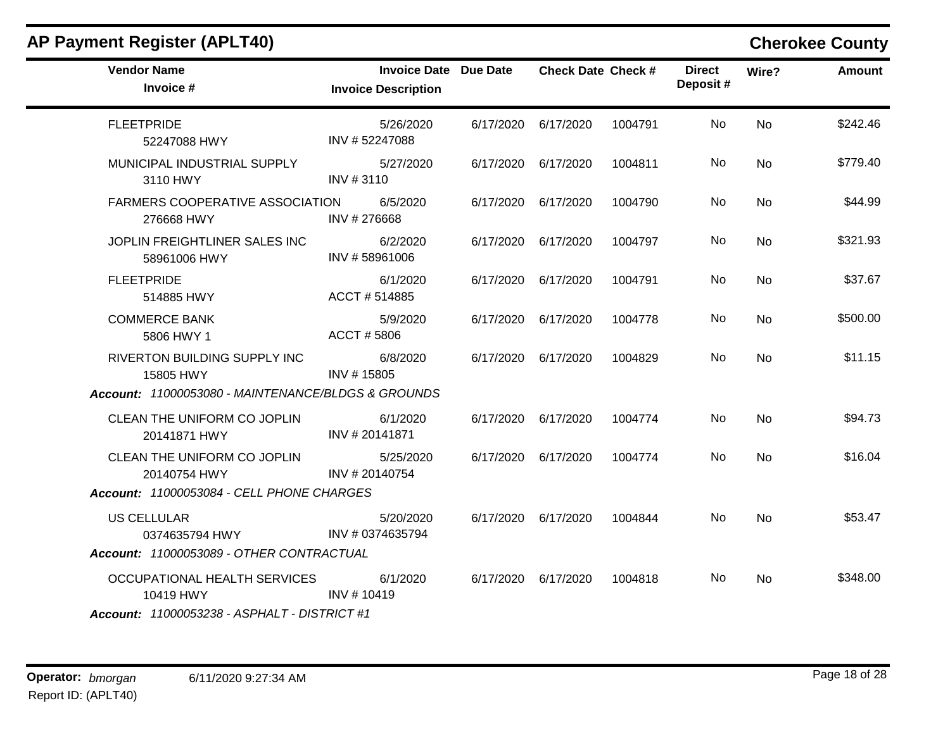| <b>AP Payment Register (APLT40)</b>                                              |                                                            |                           |         |                           |                | <b>Cherokee County</b> |
|----------------------------------------------------------------------------------|------------------------------------------------------------|---------------------------|---------|---------------------------|----------------|------------------------|
| <b>Vendor Name</b><br>Invoice #                                                  | <b>Invoice Date Due Date</b><br><b>Invoice Description</b> | <b>Check Date Check #</b> |         | <b>Direct</b><br>Deposit# | Wire?          | Amount                 |
| <b>FLEETPRIDE</b><br>52247088 HWY                                                | 5/26/2020<br>INV #52247088                                 | 6/17/2020 6/17/2020       | 1004791 | No                        | <b>No</b>      | \$242.46               |
| MUNICIPAL INDUSTRIAL SUPPLY<br>3110 HWY                                          | 5/27/2020<br>INV #3110                                     | 6/17/2020 6/17/2020       | 1004811 | No                        | No             | \$779.40               |
| FARMERS COOPERATIVE ASSOCIATION<br>276668 HWY                                    | 6/5/2020<br>INV #276668                                    | 6/17/2020 6/17/2020       | 1004790 | No.                       | No             | \$44.99                |
| JOPLIN FREIGHTLINER SALES INC<br>58961006 HWY                                    | 6/2/2020<br>INV #58961006                                  | 6/17/2020 6/17/2020       | 1004797 | No.                       | <b>No</b>      | \$321.93               |
| <b>FLEETPRIDE</b><br>514885 HWY                                                  | 6/1/2020<br>ACCT #514885                                   | 6/17/2020 6/17/2020       | 1004791 | No.                       | No             | \$37.67                |
| <b>COMMERCE BANK</b><br>5806 HWY 1                                               | 5/9/2020<br>ACCT #5806                                     | 6/17/2020 6/17/2020       | 1004778 | No                        | <b>No</b>      | \$500.00               |
| RIVERTON BUILDING SUPPLY INC<br>15805 HWY                                        | 6/8/2020<br>INV #15805                                     | 6/17/2020 6/17/2020       | 1004829 | No.                       | <b>No</b>      | \$11.15                |
| Account: 11000053080 - MAINTENANCE/BLDGS & GROUNDS                               |                                                            |                           |         |                           |                |                        |
| CLEAN THE UNIFORM CO JOPLIN<br>20141871 HWY                                      | 6/1/2020<br>INV #20141871                                  | 6/17/2020 6/17/2020       | 1004774 | No                        | <b>No</b>      | \$94.73                |
| CLEAN THE UNIFORM CO JOPLIN<br>20140754 HWY                                      | 5/25/2020<br>INV # 20140754                                | 6/17/2020 6/17/2020       | 1004774 | No.                       | <b>No</b>      | \$16.04                |
| Account: 11000053084 - CELL PHONE CHARGES                                        |                                                            |                           |         |                           |                |                        |
| <b>US CELLULAR</b><br>0374635794 HWY<br>Account: 11000053089 - OTHER CONTRACTUAL | 5/20/2020<br>INV # 0374635794                              | 6/17/2020 6/17/2020       | 1004844 | No                        | No             | \$53.47                |
|                                                                                  |                                                            |                           |         |                           |                |                        |
| OCCUPATIONAL HEALTH SERVICES<br>10419 HWY                                        | 6/1/2020<br>INV # 10419                                    | 6/17/2020 6/17/2020       | 1004818 | No.                       | N <sub>o</sub> | \$348.00               |
| <b>Account: 11000053238 - ASPHALT - DISTRICT #1</b>                              |                                                            |                           |         |                           |                |                        |

### **Operator:** bmorgan 6/11/2020 9:27:34 AM **bigger 18 of 28 bigger 18 of 28 bigger 18 of 28 bigger 18 of 28** Report ID: (APLT40)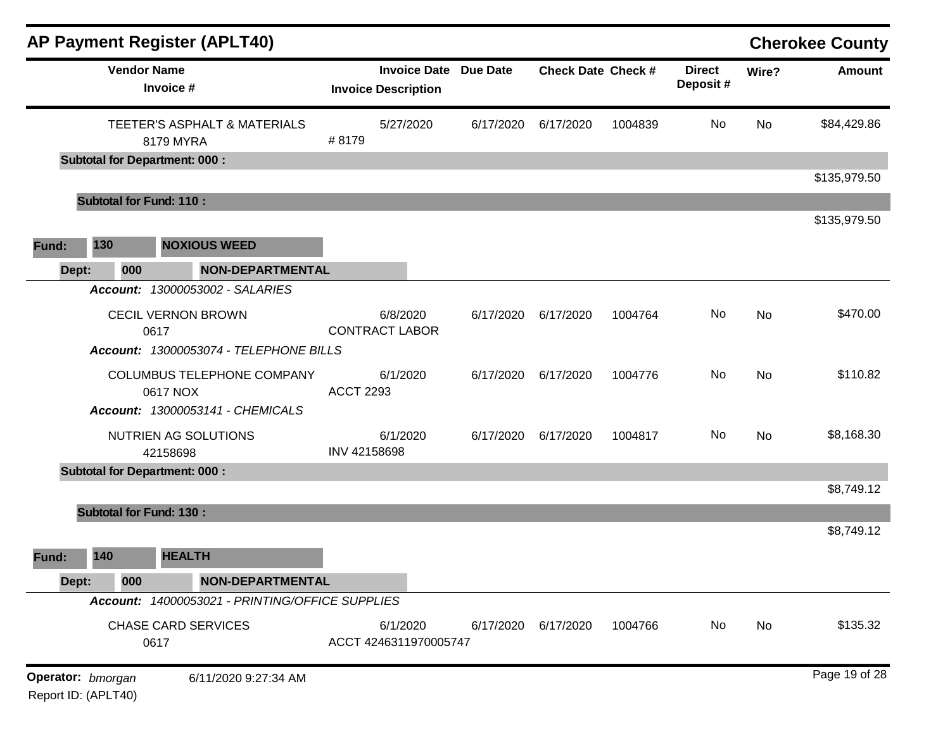|       |                                          | <b>AP Payment Register (APLT40)</b>                                         |                  |                                                            |           |                           |         |                           |           | <b>Cherokee County</b> |
|-------|------------------------------------------|-----------------------------------------------------------------------------|------------------|------------------------------------------------------------|-----------|---------------------------|---------|---------------------------|-----------|------------------------|
|       |                                          | <b>Vendor Name</b><br>Invoice #                                             |                  | <b>Invoice Date Due Date</b><br><b>Invoice Description</b> |           | <b>Check Date Check #</b> |         | <b>Direct</b><br>Deposit# | Wire?     | <b>Amount</b>          |
|       |                                          | TEETER'S ASPHALT & MATERIALS<br>8179 MYRA                                   | #8179            | 5/27/2020                                                  | 6/17/2020 | 6/17/2020                 | 1004839 | No                        | <b>No</b> | \$84,429.86            |
|       |                                          | <b>Subtotal for Department: 000:</b>                                        |                  |                                                            |           |                           |         |                           |           |                        |
|       |                                          | <b>Subtotal for Fund: 110:</b>                                              |                  |                                                            |           |                           |         |                           |           | \$135,979.50           |
|       |                                          |                                                                             |                  |                                                            |           |                           |         |                           |           | \$135,979.50           |
| Fund: | 130                                      | <b>NOXIOUS WEED</b>                                                         |                  |                                                            |           |                           |         |                           |           |                        |
| Dept: | 000                                      | <b>NON-DEPARTMENTAL</b>                                                     |                  |                                                            |           |                           |         |                           |           |                        |
|       |                                          | Account: 13000053002 - SALARIES                                             |                  |                                                            |           |                           |         |                           |           |                        |
|       |                                          | <b>CECIL VERNON BROWN</b><br>0617<br>Account: 13000053074 - TELEPHONE BILLS |                  | 6/8/2020<br><b>CONTRACT LABOR</b>                          | 6/17/2020 | 6/17/2020                 | 1004764 | No                        | No        | \$470.00               |
|       |                                          |                                                                             |                  |                                                            |           |                           |         |                           |           |                        |
|       |                                          | COLUMBUS TELEPHONE COMPANY<br>0617 NOX                                      | <b>ACCT 2293</b> | 6/1/2020                                                   | 6/17/2020 | 6/17/2020                 | 1004776 | No                        | No        | \$110.82               |
|       |                                          | Account: 13000053141 - CHEMICALS                                            |                  |                                                            |           |                           |         |                           |           |                        |
|       |                                          | NUTRIEN AG SOLUTIONS<br>42158698                                            | INV 42158698     | 6/1/2020                                                   | 6/17/2020 | 6/17/2020                 | 1004817 | No                        | <b>No</b> | \$8,168.30             |
|       |                                          | <b>Subtotal for Department: 000:</b>                                        |                  |                                                            |           |                           |         |                           |           | \$8,749.12             |
|       |                                          | <b>Subtotal for Fund: 130:</b>                                              |                  |                                                            |           |                           |         |                           |           |                        |
|       |                                          |                                                                             |                  |                                                            |           |                           |         |                           |           | \$8,749.12             |
| Fund: | 140                                      | <b>HEALTH</b>                                                               |                  |                                                            |           |                           |         |                           |           |                        |
| Dept: | 000                                      | <b>NON-DEPARTMENTAL</b>                                                     |                  |                                                            |           |                           |         |                           |           |                        |
|       |                                          | Account: 14000053021 - PRINTING/OFFICE SUPPLIES                             |                  |                                                            |           |                           |         |                           |           |                        |
|       |                                          | <b>CHASE CARD SERVICES</b><br>0617                                          |                  | 6/1/2020<br>ACCT 4246311970005747                          | 6/17/2020 | 6/17/2020                 | 1004766 | No                        | No        | \$135.32               |
|       | Operator: bmorgan<br>Report ID: (APLT40) | 6/11/2020 9:27:34 AM                                                        |                  |                                                            |           |                           |         |                           |           | Page 19 of 28          |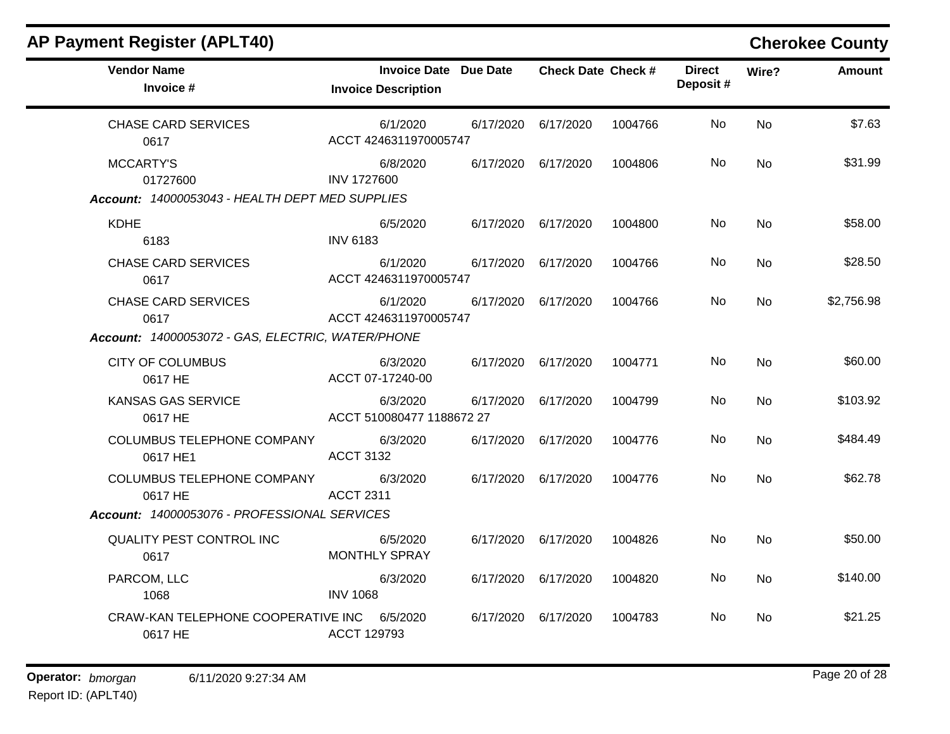| <b>AP Payment Register (APLT40)</b>                    |                                                            |                           |         |                           |           | <b>Cherokee County</b> |
|--------------------------------------------------------|------------------------------------------------------------|---------------------------|---------|---------------------------|-----------|------------------------|
| <b>Vendor Name</b><br>Invoice #                        | <b>Invoice Date Due Date</b><br><b>Invoice Description</b> | <b>Check Date Check #</b> |         | <b>Direct</b><br>Deposit# | Wire?     | Amount                 |
| <b>CHASE CARD SERVICES</b><br>0617                     | 6/1/2020<br>ACCT 4246311970005747                          | 6/17/2020 6/17/2020       | 1004766 | No                        | <b>No</b> | \$7.63                 |
| <b>MCCARTY'S</b><br>01727600                           | 6/8/2020<br><b>INV 1727600</b>                             | 6/17/2020 6/17/2020       | 1004806 | No.                       | No        | \$31.99                |
| Account: 14000053043 - HEALTH DEPT MED SUPPLIES        |                                                            |                           |         |                           |           |                        |
| <b>KDHE</b><br>6183                                    | 6/5/2020<br><b>INV 6183</b>                                | 6/17/2020 6/17/2020       | 1004800 | No                        | <b>No</b> | \$58.00                |
| <b>CHASE CARD SERVICES</b><br>0617                     | 6/1/2020<br>ACCT 4246311970005747                          | 6/17/2020 6/17/2020       | 1004766 | No.                       | <b>No</b> | \$28.50                |
| <b>CHASE CARD SERVICES</b><br>0617                     | 6/1/2020<br>ACCT 4246311970005747                          | 6/17/2020 6/17/2020       | 1004766 | No                        | <b>No</b> | \$2,756.98             |
| Account: 14000053072 - GAS, ELECTRIC, WATER/PHONE      |                                                            |                           |         |                           |           |                        |
| <b>CITY OF COLUMBUS</b><br>0617 HE                     | 6/3/2020<br>ACCT 07-17240-00                               | 6/17/2020 6/17/2020       | 1004771 | No.                       | No        | \$60.00                |
| <b>KANSAS GAS SERVICE</b><br>0617 HE                   | 6/3/2020<br>ACCT 510080477 1188672 27                      | 6/17/2020 6/17/2020       | 1004799 | No                        | <b>No</b> | \$103.92               |
| <b>COLUMBUS TELEPHONE COMPANY</b><br>0617 HE1          | 6/3/2020<br><b>ACCT 3132</b>                               | 6/17/2020 6/17/2020       | 1004776 | No.                       | <b>No</b> | \$484.49               |
| <b>COLUMBUS TELEPHONE COMPANY</b><br>0617 HE           | 6/3/2020<br><b>ACCT 2311</b>                               | 6/17/2020 6/17/2020       | 1004776 | No                        | <b>No</b> | \$62.78                |
| Account: 14000053076 - PROFESSIONAL SERVICES           |                                                            |                           |         |                           |           |                        |
| QUALITY PEST CONTROL INC<br>0617                       | 6/5/2020<br><b>MONTHLY SPRAY</b>                           | 6/17/2020 6/17/2020       | 1004826 | No                        | No        | \$50.00                |
| PARCOM, LLC<br>1068                                    | 6/3/2020<br><b>INV 1068</b>                                | 6/17/2020 6/17/2020       | 1004820 | No.                       | No        | \$140.00               |
| CRAW-KAN TELEPHONE COOPERATIVE INC 6/5/2020<br>0617 HE | ACCT 129793                                                | 6/17/2020 6/17/2020       | 1004783 | <b>No</b>                 | No.       | \$21.25                |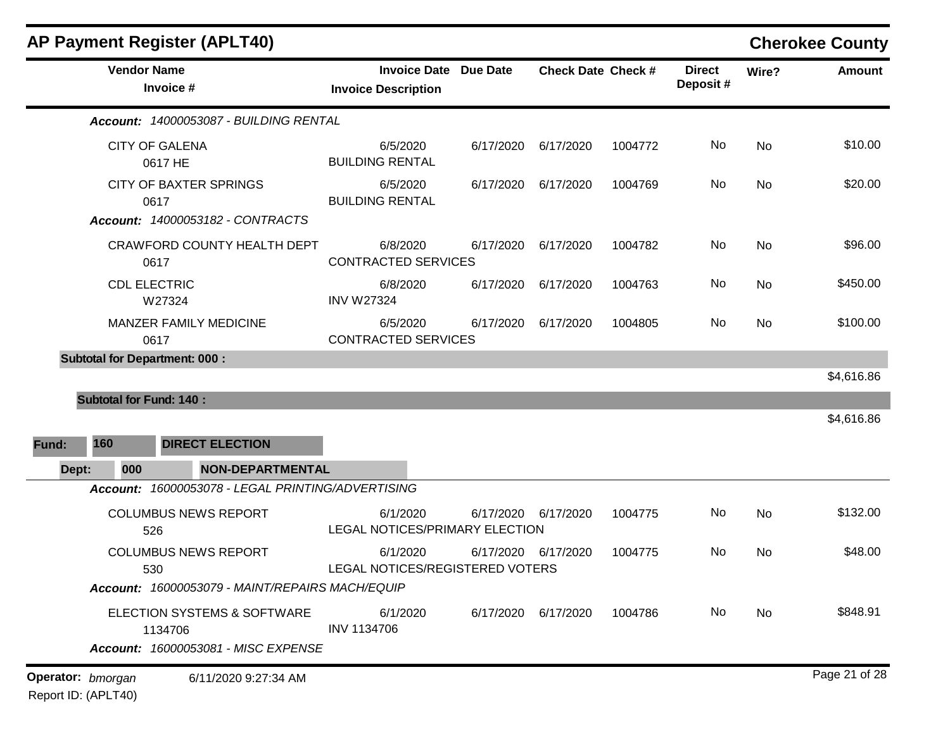| <b>AP Payment Register (APLT40)</b>                                           |                                                                                                                                                                                                                                                                                                                                                                                                                                                                                                                                                                                                                                                                                                                                                                                                                                                                                                                                                        |  |                           |       | <b>Cherokee County</b> |
|-------------------------------------------------------------------------------|--------------------------------------------------------------------------------------------------------------------------------------------------------------------------------------------------------------------------------------------------------------------------------------------------------------------------------------------------------------------------------------------------------------------------------------------------------------------------------------------------------------------------------------------------------------------------------------------------------------------------------------------------------------------------------------------------------------------------------------------------------------------------------------------------------------------------------------------------------------------------------------------------------------------------------------------------------|--|---------------------------|-------|------------------------|
| <b>Vendor Name</b><br>Invoice #                                               | <b>Invoice Description</b>                                                                                                                                                                                                                                                                                                                                                                                                                                                                                                                                                                                                                                                                                                                                                                                                                                                                                                                             |  | <b>Direct</b><br>Deposit# | Wire? | <b>Amount</b>          |
| Account: 14000053087 - BUILDING RENTAL                                        | <b>Invoice Date Due Date</b><br><b>Check Date Check #</b><br>6/5/2020<br>No<br>No<br>6/17/2020<br>6/17/2020<br>1004772<br><b>BUILDING RENTAL</b><br>No<br>6/5/2020<br>No<br>6/17/2020<br>6/17/2020<br>1004769<br><b>BUILDING RENTAL</b><br>6/8/2020<br>6/17/2020<br>No<br>No<br>6/17/2020<br>1004782<br><b>CONTRACTED SERVICES</b><br>6/8/2020<br>No<br>No<br>6/17/2020<br>6/17/2020<br>1004763<br><b>INV W27324</b><br>No<br>6/5/2020<br>No<br>6/17/2020<br>6/17/2020<br>1004805<br><b>CONTRACTED SERVICES</b><br><b>NON-DEPARTMENTAL</b><br>Account: 16000053078 - LEGAL PRINTING/ADVERTISING<br>6/1/2020<br>No<br>No<br>6/17/2020<br>6/17/2020<br>1004775<br>LEGAL NOTICES/PRIMARY ELECTION<br>1004775<br>No<br>No<br>6/1/2020<br>6/17/2020 6/17/2020<br>LEGAL NOTICES/REGISTERED VOTERS<br>Account: 16000053079 - MAINT/REPAIRS MACH/EQUIP<br>6/1/2020<br>6/17/2020 6/17/2020<br>1004786<br>No<br>No<br><b>INV 1134706</b><br>6/11/2020 9:27:34 AM |  |                           |       |                        |
| <b>CITY OF GALENA</b><br>0617 HE                                              |                                                                                                                                                                                                                                                                                                                                                                                                                                                                                                                                                                                                                                                                                                                                                                                                                                                                                                                                                        |  |                           |       | \$10.00                |
| <b>CITY OF BAXTER SPRINGS</b><br>0617                                         |                                                                                                                                                                                                                                                                                                                                                                                                                                                                                                                                                                                                                                                                                                                                                                                                                                                                                                                                                        |  |                           |       | \$20.00                |
| <b>Account: 14000053182 - CONTRACTS</b>                                       |                                                                                                                                                                                                                                                                                                                                                                                                                                                                                                                                                                                                                                                                                                                                                                                                                                                                                                                                                        |  |                           |       |                        |
| <b>CRAWFORD COUNTY HEALTH DEPT</b><br>0617                                    |                                                                                                                                                                                                                                                                                                                                                                                                                                                                                                                                                                                                                                                                                                                                                                                                                                                                                                                                                        |  |                           |       | \$96.00                |
| <b>CDL ELECTRIC</b><br>W27324                                                 |                                                                                                                                                                                                                                                                                                                                                                                                                                                                                                                                                                                                                                                                                                                                                                                                                                                                                                                                                        |  |                           |       | \$450.00               |
| <b>MANZER FAMILY MEDICINE</b><br>0617                                         |                                                                                                                                                                                                                                                                                                                                                                                                                                                                                                                                                                                                                                                                                                                                                                                                                                                                                                                                                        |  |                           |       | \$100.00               |
| <b>Subtotal for Department: 000:</b>                                          |                                                                                                                                                                                                                                                                                                                                                                                                                                                                                                                                                                                                                                                                                                                                                                                                                                                                                                                                                        |  |                           |       |                        |
|                                                                               |                                                                                                                                                                                                                                                                                                                                                                                                                                                                                                                                                                                                                                                                                                                                                                                                                                                                                                                                                        |  |                           |       | \$4,616.86             |
| <b>Subtotal for Fund: 140:</b>                                                |                                                                                                                                                                                                                                                                                                                                                                                                                                                                                                                                                                                                                                                                                                                                                                                                                                                                                                                                                        |  |                           |       |                        |
|                                                                               |                                                                                                                                                                                                                                                                                                                                                                                                                                                                                                                                                                                                                                                                                                                                                                                                                                                                                                                                                        |  |                           |       | \$4,616.86             |
| 160<br><b>DIRECT ELECTION</b><br>Fund:                                        |                                                                                                                                                                                                                                                                                                                                                                                                                                                                                                                                                                                                                                                                                                                                                                                                                                                                                                                                                        |  |                           |       |                        |
| 000<br>Dept:                                                                  |                                                                                                                                                                                                                                                                                                                                                                                                                                                                                                                                                                                                                                                                                                                                                                                                                                                                                                                                                        |  |                           |       |                        |
|                                                                               |                                                                                                                                                                                                                                                                                                                                                                                                                                                                                                                                                                                                                                                                                                                                                                                                                                                                                                                                                        |  |                           |       |                        |
| <b>COLUMBUS NEWS REPORT</b><br>526                                            |                                                                                                                                                                                                                                                                                                                                                                                                                                                                                                                                                                                                                                                                                                                                                                                                                                                                                                                                                        |  |                           |       | \$132.00               |
| <b>COLUMBUS NEWS REPORT</b><br>530                                            |                                                                                                                                                                                                                                                                                                                                                                                                                                                                                                                                                                                                                                                                                                                                                                                                                                                                                                                                                        |  |                           |       | \$48.00                |
|                                                                               |                                                                                                                                                                                                                                                                                                                                                                                                                                                                                                                                                                                                                                                                                                                                                                                                                                                                                                                                                        |  |                           |       |                        |
| ELECTION SYSTEMS & SOFTWARE<br>1134706<br>Account: 16000053081 - MISC EXPENSE |                                                                                                                                                                                                                                                                                                                                                                                                                                                                                                                                                                                                                                                                                                                                                                                                                                                                                                                                                        |  |                           |       | \$848.91               |
| Operator: bmorgan                                                             |                                                                                                                                                                                                                                                                                                                                                                                                                                                                                                                                                                                                                                                                                                                                                                                                                                                                                                                                                        |  |                           |       | Page 21 of 28          |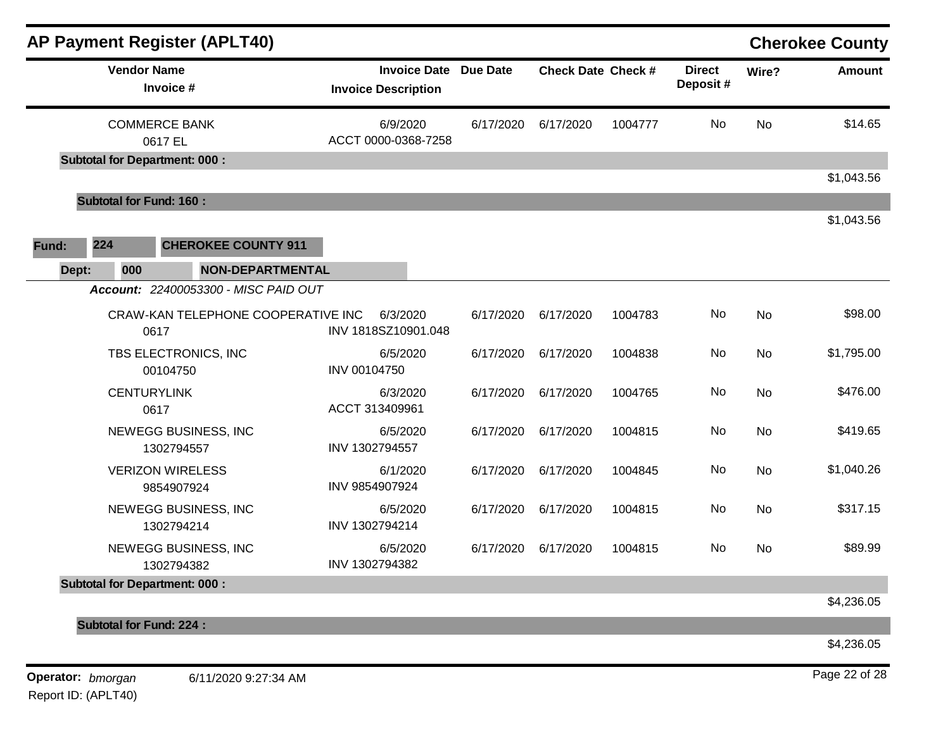| AP Payment Register (APLT40)                                                    |                                                            |           |                           |         |                           |                                                                                 | <b>Cherokee County</b> |
|---------------------------------------------------------------------------------|------------------------------------------------------------|-----------|---------------------------|---------|---------------------------|---------------------------------------------------------------------------------|------------------------|
| <b>Vendor Name</b><br>Invoice #                                                 | <b>Invoice Date Due Date</b><br><b>Invoice Description</b> |           | <b>Check Date Check #</b> |         | <b>Direct</b><br>Deposit# | Wire?                                                                           | Amount                 |
| <b>COMMERCE BANK</b><br>0617 EL                                                 | 6/9/2020<br>ACCT 0000-0368-7258                            | 6/17/2020 | 6/17/2020                 | 1004777 | <b>No</b>                 | <b>No</b><br>No<br>No<br><b>No</b><br><b>No</b><br>No<br><b>No</b><br><b>No</b> | \$14.65                |
| <b>Subtotal for Department: 000:</b>                                            |                                                            |           |                           |         |                           |                                                                                 | \$1,043.56             |
| <b>Subtotal for Fund: 160:</b>                                                  |                                                            |           |                           |         |                           |                                                                                 |                        |
| 224<br><b>CHEROKEE COUNTY 911</b><br>Fund:                                      |                                                            |           |                           |         |                           |                                                                                 | \$1,043.56             |
| Dept:<br><b>NON-DEPARTMENTAL</b><br>000<br>Account: 22400053300 - MISC PAID OUT |                                                            |           |                           |         |                           |                                                                                 |                        |
| CRAW-KAN TELEPHONE COOPERATIVE INC<br>0617                                      | 6/3/2020<br>INV 1818SZ10901.048                            | 6/17/2020 | 6/17/2020                 | 1004783 | No                        |                                                                                 | \$98.00                |
| TBS ELECTRONICS, INC<br>00104750                                                | 6/5/2020<br>INV 00104750                                   | 6/17/2020 | 6/17/2020                 | 1004838 | No                        |                                                                                 | \$1,795.00             |
| <b>CENTURYLINK</b><br>0617                                                      | 6/3/2020<br>ACCT 313409961                                 | 6/17/2020 | 6/17/2020                 | 1004765 | No                        |                                                                                 | \$476.00               |
| NEWEGG BUSINESS, INC<br>1302794557                                              | 6/5/2020<br>INV 1302794557                                 | 6/17/2020 | 6/17/2020                 | 1004815 | No                        |                                                                                 | \$419.65               |
| <b>VERIZON WIRELESS</b><br>9854907924                                           | 6/1/2020<br>INV 9854907924                                 | 6/17/2020 | 6/17/2020                 | 1004845 | No                        |                                                                                 | \$1,040.26             |
| NEWEGG BUSINESS, INC<br>1302794214                                              | 6/5/2020<br>INV 1302794214                                 | 6/17/2020 | 6/17/2020                 | 1004815 | No                        |                                                                                 | \$317.15               |
| NEWEGG BUSINESS, INC<br>1302794382                                              | 6/5/2020<br>INV 1302794382                                 | 6/17/2020 | 6/17/2020                 | 1004815 | No.                       |                                                                                 | \$89.99                |
| <b>Subtotal for Department: 000:</b>                                            |                                                            |           |                           |         |                           |                                                                                 |                        |
|                                                                                 |                                                            |           |                           |         |                           |                                                                                 | \$4,236.05             |
| <b>Subtotal for Fund: 224:</b>                                                  |                                                            |           |                           |         |                           |                                                                                 |                        |
|                                                                                 |                                                            |           |                           |         |                           |                                                                                 | \$4,236.05             |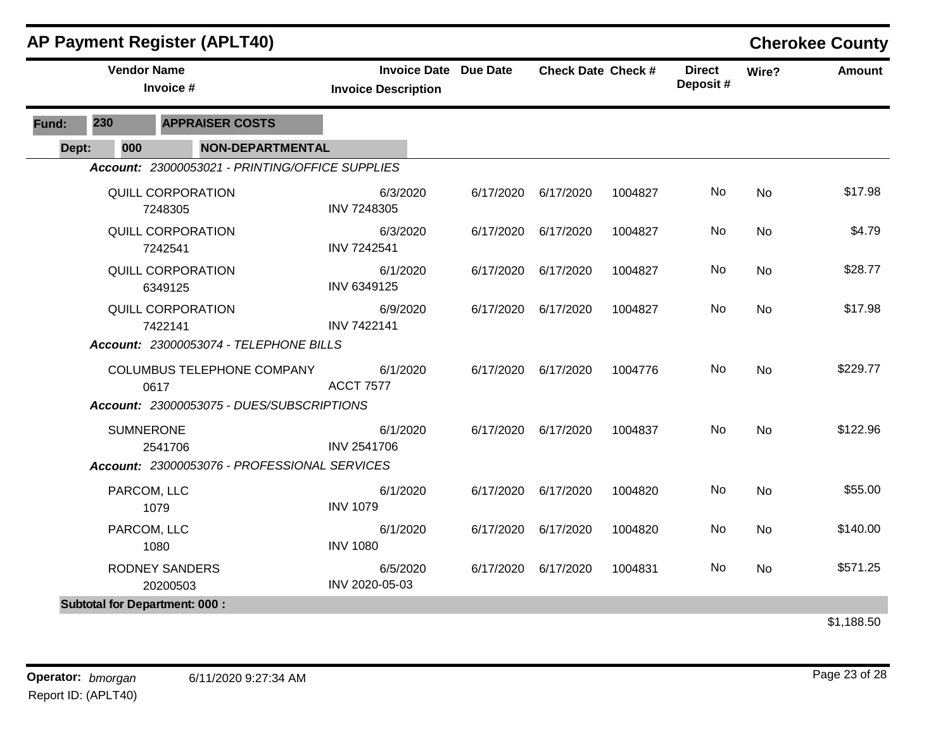|       |                    | <b>AP Payment Register (APLT40)</b>             |                                                            |           |                           |         |                           |           | <b>Cherokee County</b> |
|-------|--------------------|-------------------------------------------------|------------------------------------------------------------|-----------|---------------------------|---------|---------------------------|-----------|------------------------|
|       | <b>Vendor Name</b> | Invoice #                                       | <b>Invoice Date Due Date</b><br><b>Invoice Description</b> |           | <b>Check Date Check #</b> |         | <b>Direct</b><br>Deposit# | Wire?     | <b>Amount</b>          |
| Fund: | 230                | <b>APPRAISER COSTS</b>                          |                                                            |           |                           |         |                           |           |                        |
| Dept: | 000                | <b>NON-DEPARTMENTAL</b>                         |                                                            |           |                           |         |                           |           |                        |
|       |                    | Account: 23000053021 - PRINTING/OFFICE SUPPLIES |                                                            |           |                           |         |                           |           |                        |
|       |                    | QUILL CORPORATION<br>7248305                    | 6/3/2020<br>INV 7248305                                    | 6/17/2020 | 6/17/2020                 | 1004827 | No                        | No        | \$17.98                |
|       |                    | QUILL CORPORATION<br>7242541                    | 6/3/2020<br>INV 7242541                                    | 6/17/2020 | 6/17/2020                 | 1004827 | No                        | <b>No</b> | \$4.79                 |
|       |                    | QUILL CORPORATION<br>6349125                    | 6/1/2020<br>INV 6349125                                    | 6/17/2020 | 6/17/2020                 | 1004827 | No.                       | No        | \$28.77                |
|       |                    | QUILL CORPORATION<br>7422141                    | 6/9/2020<br><b>INV 7422141</b>                             | 6/17/2020 | 6/17/2020                 | 1004827 | No                        | <b>No</b> | \$17.98                |
|       |                    | Account: 23000053074 - TELEPHONE BILLS          |                                                            |           |                           |         |                           |           |                        |
|       |                    | COLUMBUS TELEPHONE COMPANY<br>0617              | 6/1/2020<br><b>ACCT 7577</b>                               | 6/17/2020 | 6/17/2020                 | 1004776 | No                        | <b>No</b> | \$229.77               |
|       |                    | Account: 23000053075 - DUES/SUBSCRIPTIONS       |                                                            |           |                           |         |                           |           |                        |
|       | <b>SUMNERONE</b>   | 2541706                                         | 6/1/2020<br>INV 2541706                                    | 6/17/2020 | 6/17/2020                 | 1004837 | No.                       | <b>No</b> | \$122.96               |
|       |                    | Account: 23000053076 - PROFESSIONAL SERVICES    |                                                            |           |                           |         |                           |           |                        |
|       |                    | PARCOM, LLC<br>1079                             | 6/1/2020<br><b>INV 1079</b>                                | 6/17/2020 | 6/17/2020                 | 1004820 | No                        | <b>No</b> | \$55.00                |
|       |                    | PARCOM, LLC<br>1080                             | 6/1/2020<br><b>INV 1080</b>                                | 6/17/2020 | 6/17/2020                 | 1004820 | No                        | <b>No</b> | \$140.00               |
|       |                    | <b>RODNEY SANDERS</b><br>20200503               | 6/5/2020<br>INV 2020-05-03                                 | 6/17/2020 | 6/17/2020                 | 1004831 | No                        | <b>No</b> | \$571.25               |
|       |                    | <b>Subtotal for Department: 000:</b>            |                                                            |           |                           |         |                           |           |                        |
|       |                    |                                                 |                                                            |           |                           |         |                           |           | \$1,188.50             |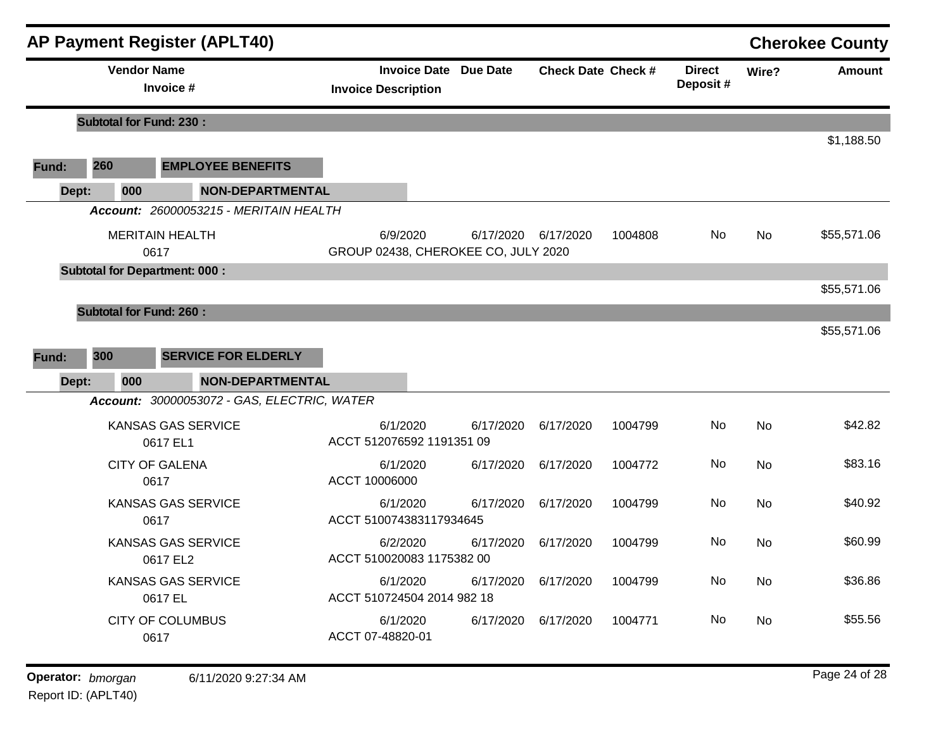|       |                                | <b>AP Payment Register (APLT40)</b>         |                                     |                              |                           |         |                           |           | <b>Cherokee County</b> |
|-------|--------------------------------|---------------------------------------------|-------------------------------------|------------------------------|---------------------------|---------|---------------------------|-----------|------------------------|
|       | <b>Vendor Name</b>             | Invoice #                                   | <b>Invoice Description</b>          | <b>Invoice Date Due Date</b> | <b>Check Date Check #</b> |         | <b>Direct</b><br>Deposit# | Wire?     | <b>Amount</b>          |
|       | <b>Subtotal for Fund: 230:</b> |                                             |                                     |                              |                           |         |                           |           |                        |
|       |                                |                                             |                                     |                              |                           |         |                           |           | \$1,188.50             |
| Fund: | 260                            | <b>EMPLOYEE BENEFITS</b>                    |                                     |                              |                           |         |                           |           |                        |
| Dept: | 000                            | <b>NON-DEPARTMENTAL</b>                     |                                     |                              |                           |         |                           |           |                        |
|       |                                | Account: 26000053215 - MERITAIN HEALTH      |                                     |                              |                           |         |                           |           |                        |
|       |                                | <b>MERITAIN HEALTH</b>                      | 6/9/2020                            |                              | 6/17/2020 6/17/2020       | 1004808 | No                        | No        | \$55,571.06            |
|       |                                | 0617                                        | GROUP 02438, CHEROKEE CO, JULY 2020 |                              |                           |         |                           |           |                        |
|       |                                | <b>Subtotal for Department: 000:</b>        |                                     |                              |                           |         |                           |           | \$55,571.06            |
|       |                                |                                             |                                     |                              |                           |         |                           |           |                        |
|       | <b>Subtotal for Fund: 260:</b> |                                             |                                     |                              |                           |         |                           |           | \$55,571.06            |
|       |                                |                                             |                                     |                              |                           |         |                           |           |                        |
| Fund: | 300                            | <b>SERVICE FOR ELDERLY</b>                  |                                     |                              |                           |         |                           |           |                        |
| Dept: | 000                            | <b>NON-DEPARTMENTAL</b>                     |                                     |                              |                           |         |                           |           |                        |
|       |                                | Account: 30000053072 - GAS, ELECTRIC, WATER |                                     |                              |                           |         |                           |           |                        |
|       |                                | <b>KANSAS GAS SERVICE</b>                   | 6/1/2020                            | 6/17/2020                    | 6/17/2020                 | 1004799 | No.                       | <b>No</b> | \$42.82                |
|       |                                | 0617 EL1                                    | ACCT 512076592 1191351 09           |                              |                           |         |                           |           |                        |
|       |                                | <b>CITY OF GALENA</b>                       | 6/1/2020                            | 6/17/2020                    | 6/17/2020                 | 1004772 | No                        | <b>No</b> | \$83.16                |
|       |                                | 0617                                        | ACCT 10006000                       |                              |                           |         |                           |           |                        |
|       |                                | <b>KANSAS GAS SERVICE</b><br>0617           | 6/1/2020<br>ACCT 510074383117934645 | 6/17/2020                    | 6/17/2020                 | 1004799 | No                        | <b>No</b> | \$40.92                |
|       |                                | <b>KANSAS GAS SERVICE</b>                   | 6/2/2020                            | 6/17/2020                    | 6/17/2020                 | 1004799 | No                        | <b>No</b> | \$60.99                |
|       |                                | 0617 EL2                                    | ACCT 510020083 1175382 00           |                              |                           |         |                           |           |                        |
|       |                                | <b>KANSAS GAS SERVICE</b>                   | 6/1/2020                            | 6/17/2020                    | 6/17/2020                 | 1004799 | No                        | No        | \$36.86                |
|       |                                | 0617 EL                                     | ACCT 510724504 2014 982 18          |                              |                           |         |                           |           |                        |
|       |                                | <b>CITY OF COLUMBUS</b>                     | 6/1/2020                            | 6/17/2020                    | 6/17/2020                 | 1004771 | No                        | <b>No</b> | \$55.56                |
|       |                                | 0617                                        | ACCT 07-48820-01                    |                              |                           |         |                           |           |                        |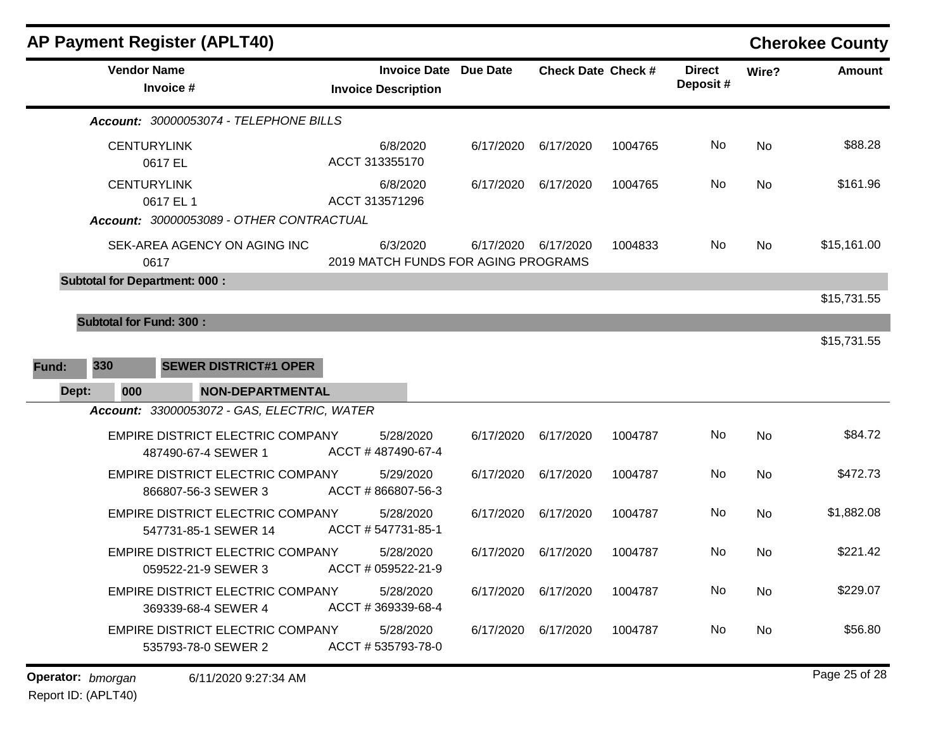|                                                                             |                                      | <b>AP Payment Register (APLT40)</b>                             |                                                 |                       |                           |         |                           |           | <b>Cherokee County</b> |
|-----------------------------------------------------------------------------|--------------------------------------|-----------------------------------------------------------------|-------------------------------------------------|-----------------------|---------------------------|---------|---------------------------|-----------|------------------------|
|                                                                             | <b>Vendor Name</b><br>Invoice #      |                                                                 | <b>Invoice Description</b>                      | Invoice Date Due Date | <b>Check Date Check #</b> |         | <b>Direct</b><br>Deposit# | Wire?     | <b>Amount</b>          |
|                                                                             |                                      | Account: 30000053074 - TELEPHONE BILLS                          |                                                 |                       |                           |         |                           |           |                        |
|                                                                             | <b>CENTURYLINK</b><br>0617 EL        |                                                                 | 6/8/2020<br>ACCT 313355170                      | 6/17/2020             | 6/17/2020                 | 1004765 | No                        | <b>No</b> | \$88.28                |
| <b>CENTURYLINK</b><br>0617 EL 1<br>Account: 30000053089 - OTHER CONTRACTUAL |                                      | 6/8/2020<br>ACCT 313571296                                      | 6/17/2020                                       | 6/17/2020             | 1004765                   | No      | <b>No</b>                 | \$161.96  |                        |
|                                                                             | 0617                                 | SEK-AREA AGENCY ON AGING INC                                    | 6/3/2020<br>2019 MATCH FUNDS FOR AGING PROGRAMS | 6/17/2020             | 6/17/2020                 | 1004833 | No                        | No        | \$15,161.00            |
|                                                                             | <b>Subtotal for Department: 000:</b> |                                                                 |                                                 |                       |                           |         |                           |           |                        |
|                                                                             |                                      |                                                                 |                                                 |                       |                           |         |                           |           | \$15,731.55            |
| Fund:<br>Dept:                                                              | 330<br>000                           | <b>SEWER DISTRICT#1 OPER</b><br><b>NON-DEPARTMENTAL</b>         |                                                 |                       |                           |         |                           |           | \$15,731.55            |
|                                                                             |                                      | Account: 33000053072 - GAS, ELECTRIC, WATER                     |                                                 |                       |                           |         |                           |           |                        |
|                                                                             |                                      | EMPIRE DISTRICT ELECTRIC COMPANY<br>487490-67-4 SEWER 1         | 5/28/2020<br>ACCT #487490-67-4                  | 6/17/2020             | 6/17/2020                 | 1004787 | No                        | No        | \$84.72                |
|                                                                             |                                      | EMPIRE DISTRICT ELECTRIC COMPANY<br>866807-56-3 SEWER 3         | 5/29/2020<br>ACCT #866807-56-3                  | 6/17/2020             | 6/17/2020                 | 1004787 | No                        | <b>No</b> | \$472.73               |
|                                                                             |                                      | <b>EMPIRE DISTRICT ELECTRIC COMPANY</b><br>547731-85-1 SEWER 14 | 5/28/2020<br>ACCT # 547731-85-1                 | 6/17/2020             | 6/17/2020                 | 1004787 | No.                       | <b>No</b> | \$1,882.08             |
|                                                                             |                                      | <b>EMPIRE DISTRICT ELECTRIC COMPANY</b><br>059522-21-9 SEWER 3  | 5/28/2020<br>ACCT # 059522-21-9                 | 6/17/2020             | 6/17/2020                 | 1004787 | No                        | <b>No</b> | \$221.42               |
|                                                                             |                                      | <b>EMPIRE DISTRICT ELECTRIC COMPANY</b><br>369339-68-4 SEWER 4  | 5/28/2020<br>ACCT #369339-68-4                  | 6/17/2020             | 6/17/2020                 | 1004787 | No                        | <b>No</b> | \$229.07               |
|                                                                             |                                      | <b>EMPIRE DISTRICT ELECTRIC COMPANY</b><br>535793-78-0 SEWER 2  | 5/28/2020<br>ACCT #535793-78-0                  | 6/17/2020             | 6/17/2020                 | 1004787 | No.                       | No        | \$56.80                |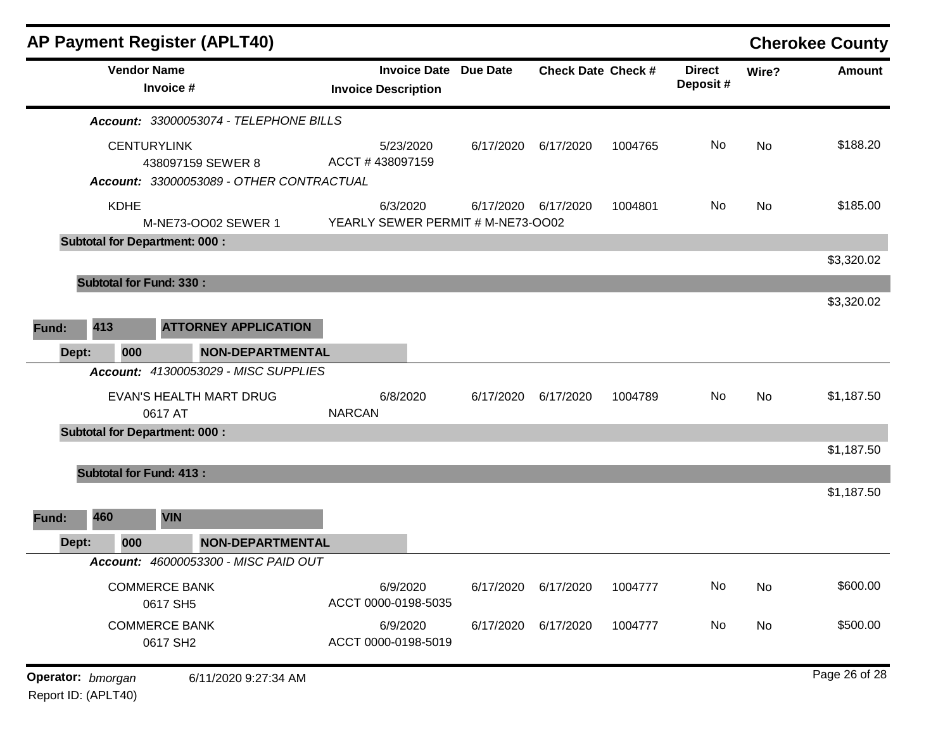|                                          |                                      | <b>AP Payment Register (APLT40)</b>                        |                                               |                           |           |                           |       |               | <b>Cherokee County</b> |
|------------------------------------------|--------------------------------------|------------------------------------------------------------|-----------------------------------------------|---------------------------|-----------|---------------------------|-------|---------------|------------------------|
| <b>Vendor Name</b><br>Invoice #          |                                      | <b>Invoice Date Due Date</b><br><b>Invoice Description</b> |                                               | <b>Check Date Check #</b> |           | <b>Direct</b><br>Deposit# | Wire? | <b>Amount</b> |                        |
|                                          |                                      | Account: 33000053074 - TELEPHONE BILLS                     |                                               |                           |           |                           |       |               |                        |
| <b>CENTURYLINK</b><br>438097159 SEWER 8  |                                      | 5/23/2020<br>ACCT #438097159                               | 6/17/2020                                     | 6/17/2020                 | 1004765   | No                        | No    | \$188.20      |                        |
|                                          |                                      | Account: 33000053089 - OTHER CONTRACTUAL                   |                                               |                           |           |                           |       |               |                        |
|                                          | <b>KDHE</b>                          | M-NE73-OO02 SEWER 1                                        | 6/3/2020<br>YEARLY SEWER PERMIT # M-NE73-OO02 | 6/17/2020                 | 6/17/2020 | 1004801                   | No    | No            | \$185.00               |
|                                          | <b>Subtotal for Department: 000:</b> |                                                            |                                               |                           |           |                           |       |               |                        |
|                                          |                                      |                                                            |                                               |                           |           |                           |       |               | \$3,320.02             |
|                                          | <b>Subtotal for Fund: 330:</b>       |                                                            |                                               |                           |           |                           |       |               |                        |
|                                          |                                      |                                                            |                                               |                           |           |                           |       |               | \$3,320.02             |
| 413<br>Fund:                             |                                      | <b>ATTORNEY APPLICATION</b>                                |                                               |                           |           |                           |       |               |                        |
| Dept:                                    | 000                                  | <b>NON-DEPARTMENTAL</b>                                    |                                               |                           |           |                           |       |               |                        |
|                                          |                                      | Account: 41300053029 - MISC SUPPLIES                       |                                               |                           |           |                           |       |               |                        |
|                                          | 0617 AT                              | EVAN'S HEALTH MART DRUG                                    | 6/8/2020<br><b>NARCAN</b>                     | 6/17/2020                 | 6/17/2020 | 1004789                   | No    | <b>No</b>     | \$1,187.50             |
|                                          | <b>Subtotal for Department: 000:</b> |                                                            |                                               |                           |           |                           |       |               |                        |
|                                          |                                      |                                                            |                                               |                           |           |                           |       |               | \$1,187.50             |
|                                          | <b>Subtotal for Fund: 413:</b>       |                                                            |                                               |                           |           |                           |       |               |                        |
|                                          |                                      |                                                            |                                               |                           |           |                           |       |               | \$1,187.50             |
| 460<br>Fund:                             | <b>VIN</b>                           |                                                            |                                               |                           |           |                           |       |               |                        |
| Dept:                                    | 000                                  | <b>NON-DEPARTMENTAL</b>                                    |                                               |                           |           |                           |       |               |                        |
|                                          |                                      | Account: 46000053300 - MISC PAID OUT                       |                                               |                           |           |                           |       |               |                        |
| <b>COMMERCE BANK</b><br>0617 SH5         |                                      | 6/9/2020<br>ACCT 0000-0198-5035                            | 6/17/2020                                     | 6/17/2020                 | 1004777   | No                        | No    | \$600.00      |                        |
| <b>COMMERCE BANK</b><br>0617 SH2         |                                      | 6/9/2020<br>ACCT 0000-0198-5019                            | 6/17/2020                                     | 6/17/2020                 | 1004777   | No                        | No    | \$500.00      |                        |
|                                          |                                      |                                                            |                                               |                           |           |                           |       |               | Page 26 of 28          |
| Operator: bmorgan<br>Report ID: (APLT40) |                                      | 6/11/2020 9:27:34 AM                                       |                                               |                           |           |                           |       |               |                        |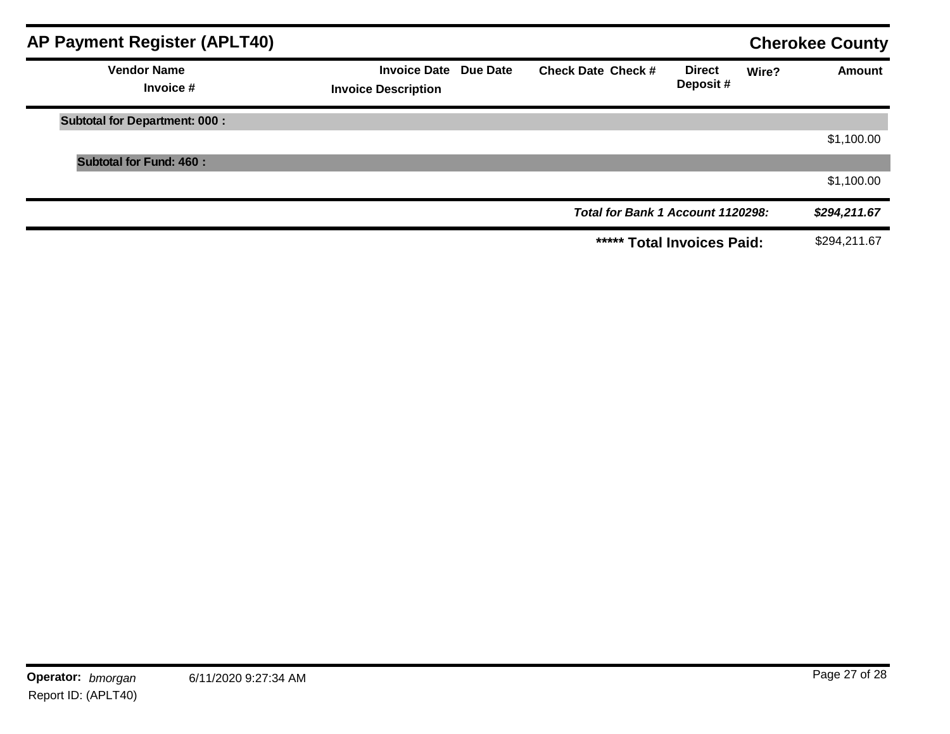| <b>AP Payment Register (APLT40)</b>  |                                                            |                                   |                           | <b>Cherokee County</b> |               |
|--------------------------------------|------------------------------------------------------------|-----------------------------------|---------------------------|------------------------|---------------|
| <b>Vendor Name</b><br>Invoice #      | <b>Invoice Date Due Date</b><br><b>Invoice Description</b> | <b>Check Date Check #</b>         | <b>Direct</b><br>Deposit# | Wire?                  | <b>Amount</b> |
| <b>Subtotal for Department: 000:</b> |                                                            |                                   |                           |                        |               |
|                                      |                                                            |                                   |                           |                        | \$1,100.00    |
| <b>Subtotal for Fund: 460:</b>       |                                                            |                                   |                           |                        |               |
|                                      |                                                            |                                   |                           |                        | \$1,100.00    |
|                                      |                                                            | Total for Bank 1 Account 1120298: |                           |                        | \$294,211.67  |
|                                      |                                                            | ***** Total Invoices Paid:        |                           |                        | \$294,211.67  |